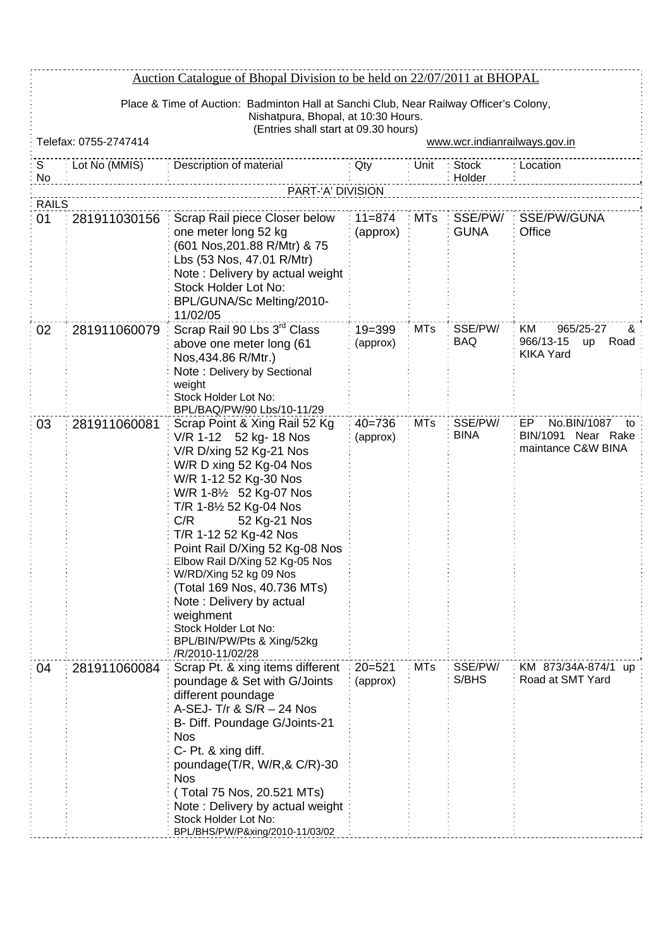|              | Auction Catalogue of Bhopal Division to be held on 22/07/2011 at BHOPAL                                                                                               |                                                                                                                                                                                                                                                                                                                                                                                                                                                                                            |                        |            |                        |                                                                     |  |
|--------------|-----------------------------------------------------------------------------------------------------------------------------------------------------------------------|--------------------------------------------------------------------------------------------------------------------------------------------------------------------------------------------------------------------------------------------------------------------------------------------------------------------------------------------------------------------------------------------------------------------------------------------------------------------------------------------|------------------------|------------|------------------------|---------------------------------------------------------------------|--|
|              | Place & Time of Auction: Badminton Hall at Sanchi Club, Near Railway Officer's Colony,<br>Nishatpura, Bhopal, at 10:30 Hours.<br>(Entries shall start at 09.30 hours) |                                                                                                                                                                                                                                                                                                                                                                                                                                                                                            |                        |            |                        |                                                                     |  |
|              | Telefax: 0755-2747414                                                                                                                                                 |                                                                                                                                                                                                                                                                                                                                                                                                                                                                                            |                        |            |                        | www.wcr.indianrailways.gov.in                                       |  |
| S<br>No      | Lot No (MMIS)                                                                                                                                                         | Description of material                                                                                                                                                                                                                                                                                                                                                                                                                                                                    | Qty                    | Unit       | <b>Stock</b><br>Holder | Location                                                            |  |
| <b>RAILS</b> |                                                                                                                                                                       | PART-'A' DIVISION                                                                                                                                                                                                                                                                                                                                                                                                                                                                          |                        |            |                        |                                                                     |  |
| 01           | 281911030156                                                                                                                                                          | Scrap Rail piece Closer below                                                                                                                                                                                                                                                                                                                                                                                                                                                              | $11 = 874$             | <b>MTs</b> | SSE/PW/                | SSE/PW/GUNA                                                         |  |
|              |                                                                                                                                                                       | one meter long 52 kg<br>(601 Nos, 201.88 R/Mtr) & 75<br>Lbs (53 Nos, 47.01 R/Mtr)<br>Note: Delivery by actual weight<br>Stock Holder Lot No:<br>BPL/GUNA/Sc Melting/2010-<br>11/02/05                                                                                                                                                                                                                                                                                                      | (approx)               |            | <b>GUNA</b>            | Office                                                              |  |
| 02           | 281911060079                                                                                                                                                          | Scrap Rail 90 Lbs 3 <sup>rd</sup> Class<br>above one meter long (61<br>Nos, 434.86 R/Mtr.)<br>Note: Delivery by Sectional<br>weight<br>Stock Holder Lot No:<br>BPL/BAQ/PW/90 Lbs/10-11/29                                                                                                                                                                                                                                                                                                  | $19 = 399$<br>(approx) | <b>MTs</b> | SSE/PW/<br>BAQ         | 965/25-27<br>KM<br>ଝ<br>966/13-15<br>Road<br>up<br><b>KIKA Yard</b> |  |
| 03           | 281911060081                                                                                                                                                          | Scrap Point & Xing Rail 52 Kg<br>V/R 1-12 52 kg- 18 Nos<br>V/R D/xing 52 Kg-21 Nos<br>W/R D xing 52 Kg-04 Nos<br>W/R 1-12 52 Kg-30 Nos<br>W/R 1-81/2 52 Kg-07 Nos<br>T/R 1-8½ 52 Kg-04 Nos<br>52 Kg-21 Nos<br>C/R<br>T/R 1-12 52 Kg-42 Nos<br>Point Rail D/Xing 52 Kg-08 Nos<br>Elbow Rail D/Xing 52 Kg-05 Nos<br>W/RD/Xing 52 kg 09 Nos<br>(Total 169 Nos, 40.736 MTs)<br>Note: Delivery by actual<br>weighment<br>Stock Holder Lot No:<br>BPL/BIN/PW/Pts & Xing/52kg<br>/R/2010-11/02/28 | $40 = 736$<br>(approx) | <b>MTs</b> | SSE/PW/<br><b>BINA</b> | EP<br>No.BIN/1087<br>to<br>BIN/1091 Near Rake<br>maintance C&W BINA |  |
| 04           | 281911060084                                                                                                                                                          | Scrap Pt. & xing items different<br>poundage & Set with G/Joints<br>different poundage<br>A-SEJ- T/r & S/R - 24 Nos<br>B- Diff. Poundage G/Joints-21<br><b>Nos</b><br>C- Pt. & xing diff.<br>poundage $(T/R, W/R, & C/R)$ -30<br><b>Nos</b><br>(Total 75 Nos, 20.521 MTs)<br>Note: Delivery by actual weight<br>Stock Holder Lot No:<br>BPL/BHS/PW/P&xing/2010-11/03/02                                                                                                                    | $20 = 521$<br>(approx) | <b>MTs</b> | SSE/PW/<br>S/BHS       | KM 873/34A-874/1 up<br>Road at SMT Yard                             |  |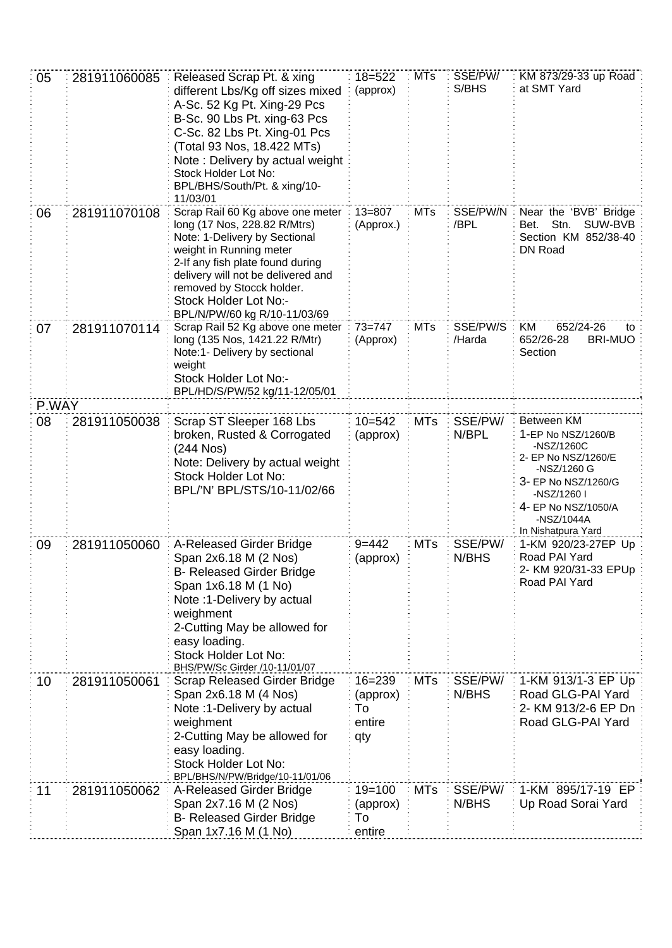| 05    | 281911060085 | Released Scrap Pt. & xing<br>different Lbs/Kg off sizes mixed<br>A-Sc. 52 Kg Pt. Xing-29 Pcs<br>B-Sc. 90 Lbs Pt. xing-63 Pcs<br>C-Sc. 82 Lbs Pt. Xing-01 Pcs<br>(Total 93 Nos, 18.422 MTs)<br>Note: Delivery by actual weight<br>Stock Holder Lot No:<br>BPL/BHS/South/Pt. & xing/10-<br>11/03/01 | $18 = 522$<br>(approx)                        | <b>MTs</b> | SSE/PW/<br>S/BHS   | KM 873/29-33 up Road<br>at SMT Yard                                                                                                                                                   |
|-------|--------------|---------------------------------------------------------------------------------------------------------------------------------------------------------------------------------------------------------------------------------------------------------------------------------------------------|-----------------------------------------------|------------|--------------------|---------------------------------------------------------------------------------------------------------------------------------------------------------------------------------------|
| 06    | 281911070108 | Scrap Rail 60 Kg above one meter<br>long (17 Nos, 228.82 R/Mtrs)<br>Note: 1-Delivery by Sectional<br>weight in Running meter<br>2-If any fish plate found during<br>delivery will not be delivered and<br>removed by Stocck holder.<br>Stock Holder Lot No:-<br>BPL/N/PW/60 kg R/10-11/03/69      | $13 = 807$<br>(Approx.)                       | <b>MTs</b> | SSE/PW/N<br>/BPL   | Near the 'BVB' Bridge<br>Stn.<br>SUW-BVB<br>Bet.<br>Section KM 852/38-40<br>DN Road                                                                                                   |
| 07    | 281911070114 | Scrap Rail 52 Kg above one meter<br>long (135 Nos, 1421.22 R/Mtr)<br>Note:1- Delivery by sectional<br>weight<br>Stock Holder Lot No:-<br>BPL/HD/S/PW/52 kg/11-12/05/01                                                                                                                            | $73 = 747$<br>(Approx)                        | <b>MTs</b> | SSE/PW/S<br>/Harda | KM<br>652/24-26<br>to<br>652/26-28<br><b>BRI-MUO</b><br>Section                                                                                                                       |
| P.WAY |              |                                                                                                                                                                                                                                                                                                   |                                               |            |                    |                                                                                                                                                                                       |
| 08    | 281911050038 | Scrap ST Sleeper 168 Lbs<br>broken, Rusted & Corrogated<br>$(244$ Nos)<br>Note: Delivery by actual weight<br>Stock Holder Lot No:<br>BPL/'N' BPL/STS/10-11/02/66                                                                                                                                  | $10 = 542$<br>(approx)                        | <b>MTs</b> | SSE/PW/<br>N/BPL   | Between KM<br>1-EP No NSZ/1260/B<br>-NSZ/1260C<br>2- EP No NSZ/1260/E<br>-NSZ/1260 G<br>3- EP No NSZ/1260/G<br>-NSZ/1260 I<br>4- EP No NSZ/1050/A<br>-NSZ/1044A<br>In Nishatpura Yard |
| 09    | 281911050060 | A-Released Girder Bridge<br>Span 2x6.18 M (2 Nos)<br><b>B- Released Girder Bridge</b><br>Span 1x6.18 M (1 No)<br>Note: 1-Delivery by actual<br>weighment<br>2-Cutting May be allowed for<br>easy loading.<br>Stock Holder Lot No:<br>BHS/PW/Sc Girder /10-11/01/07                                | $9 = 442$<br>(approx)                         | <b>MTs</b> | SSE/PW/<br>N/BHS   | 1-KM 920/23-27EP Up<br>Road PAI Yard<br>2- KM 920/31-33 EPUp<br>Road PAI Yard                                                                                                         |
| 10    | 281911050061 | Scrap Released Girder Bridge<br>Span 2x6.18 M (4 Nos)<br>Note: 1-Delivery by actual<br>weighment<br>2-Cutting May be allowed for<br>easy loading.<br>Stock Holder Lot No:<br>BPL/BHS/N/PW/Bridge/10-11/01/06                                                                                      | $16 = 239$<br>(approx)<br>To<br>entire<br>qty | <b>MTs</b> | SSE/PW/<br>N/BHS   | 1-KM 913/1-3 EP Up<br>Road GLG-PAI Yard<br>2- KM 913/2-6 EP Dn<br>Road GLG-PAI Yard                                                                                                   |
| 11    | 281911050062 | A-Released Girder Bridge<br>Span 2x7.16 M (2 Nos)<br><b>B- Released Girder Bridge</b><br>Span 1x7.16 M (1 No)                                                                                                                                                                                     | $19 = 100$<br>(approx)<br>To<br>entire        | <b>MTs</b> | SSE/PW/<br>N/BHS   | 1-KM 895/17-19 EP<br>Up Road Sorai Yard                                                                                                                                               |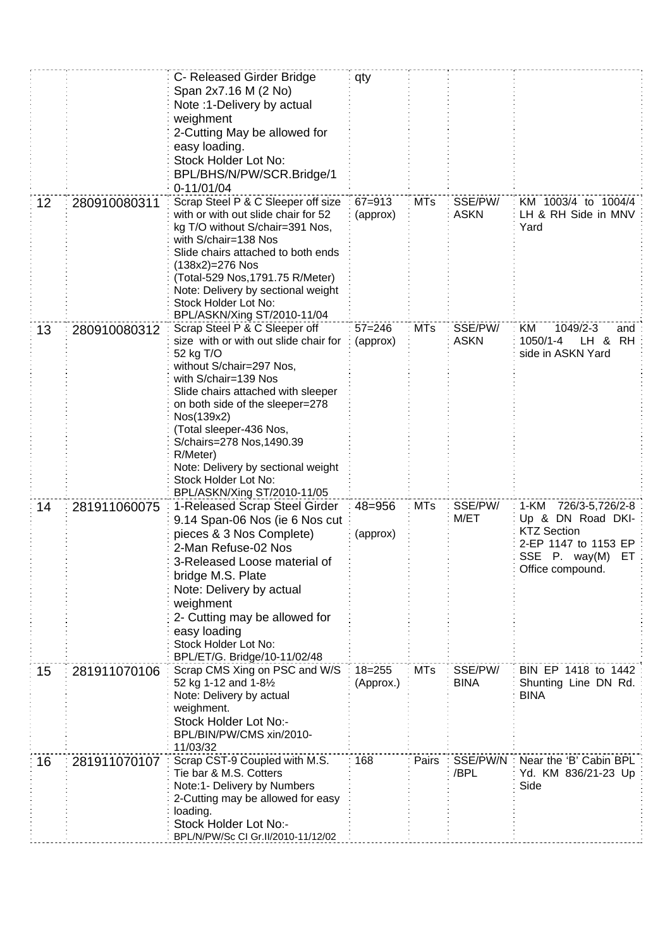|    |              | C- Released Girder Bridge<br>Span 2x7.16 M (2 No)<br>Note: 1-Delivery by actual<br>weighment<br>2-Cutting May be allowed for<br>easy loading.<br>Stock Holder Lot No:<br>BPL/BHS/N/PW/SCR.Bridge/1<br>$0-11/01/04$                                                                                                                                                                              | qty                     |            |                        |                                                                                                                                    |
|----|--------------|-------------------------------------------------------------------------------------------------------------------------------------------------------------------------------------------------------------------------------------------------------------------------------------------------------------------------------------------------------------------------------------------------|-------------------------|------------|------------------------|------------------------------------------------------------------------------------------------------------------------------------|
| 12 | 280910080311 | Scrap Steel P & C Sleeper off size<br>with or with out slide chair for 52<br>kg T/O without S/chair=391 Nos,<br>with S/chair=138 Nos<br>Slide chairs attached to both ends<br>(138x2)=276 Nos<br>(Total-529 Nos, 1791.75 R/Meter)<br>Note: Delivery by sectional weight<br>Stock Holder Lot No:<br>BPL/ASKN/Xing ST/2010-11/04                                                                  | $67 = 913$<br>(approx)  | <b>MTs</b> | SSE/PW/<br><b>ASKN</b> | KM 1003/4 to 1004/4<br>LH & RH Side in MNV<br>Yard                                                                                 |
| 13 | 280910080312 | Scrap Steel P & C Sleeper off<br>size with or with out slide chair for<br>52 kg T/O<br>without S/chair=297 Nos,<br>with S/chair=139 Nos<br>Slide chairs attached with sleeper<br>on both side of the sleeper=278<br>Nos(139x2)<br>(Total sleeper-436 Nos,<br>S/chairs=278 Nos, 1490.39<br>R/Meter)<br>Note: Delivery by sectional weight<br>Stock Holder Lot No:<br>BPL/ASKN/Xing ST/2010-11/05 | $57 = 246$<br>(approx)  | <b>MTs</b> | SSE/PW/<br><b>ASKN</b> | 1049/2-3<br>KM<br>and<br>1050/1-4<br>LH &<br><b>RH</b><br>side in ASKN Yard                                                        |
| 14 | 281911060075 | 1-Released Scrap Steel Girder<br>9.14 Span-06 Nos (ie 6 Nos cut<br>pieces & 3 Nos Complete)<br>2-Man Refuse-02 Nos<br>3-Released Loose material of<br>bridge M.S. Plate<br>Note: Delivery by actual<br>weighment<br>2- Cutting may be allowed for<br>easy loading<br>Stock Holder Lot No:<br>BPL/ET/G. Bridge/10-11/02/48                                                                       | 48=956<br>(approx)      | <b>MTs</b> | SSE/PW/<br>M/ET        | 1-KM<br>726/3-5,726/2-8<br>Up & DN Road DKI-<br><b>KTZ Section</b><br>2-EP 1147 to 1153 EP<br>SSE P. way(M) ET<br>Office compound. |
| 15 | 281911070106 | Scrap CMS Xing on PSC and W/S<br>52 kg 1-12 and 1-81/2<br>Note: Delivery by actual<br>weighment.<br>Stock Holder Lot No:-<br>BPL/BIN/PW/CMS xin/2010-<br>11/03/32                                                                                                                                                                                                                               | $18 = 255$<br>(Approx.) | <b>MTs</b> | SSE/PW/<br><b>BINA</b> | BIN EP 1418 to 1442<br>Shunting Line DN Rd.<br><b>BINA</b>                                                                         |
| 16 | 281911070107 | Scrap CST-9 Coupled with M.S.<br>Tie bar & M.S. Cotters<br>Note:1- Delivery by Numbers<br>2-Cutting may be allowed for easy<br>loading.<br>Stock Holder Lot No:-<br>BPL/N/PW/Sc CI Gr.II/2010-11/12/02                                                                                                                                                                                          | 168                     | Pairs      | SSE/PW/N:<br>/BPL      | Near the 'B' Cabin BPL<br>Yd. KM 836/21-23 Up<br>Side                                                                              |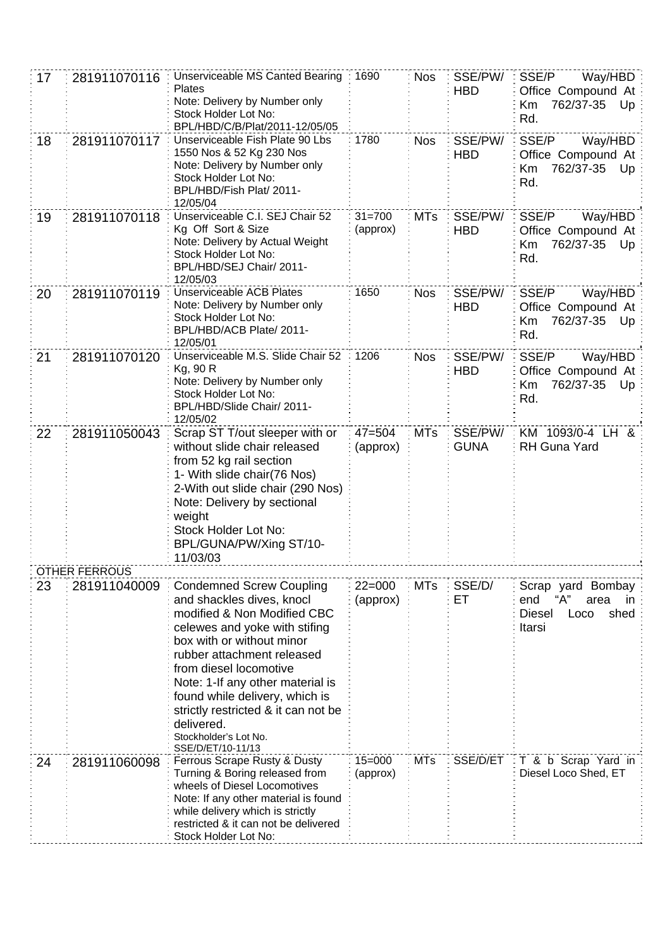| 17 | 281911070116         | Unserviceable MS Canted Bearing<br><b>Plates</b><br>Note: Delivery by Number only<br>Stock Holder Lot No:<br>BPL/HBD/C/B/Plat/2011-12/05/05                                                                                                                                                                                                                                                | 1690                   | <b>Nos</b> | SSE/PW/<br><b>HBD</b>  | SSE/P<br>Way/HBD<br>Office Compound At<br>762/37-35<br>Km<br>Up<br>Rd.                    |
|----|----------------------|--------------------------------------------------------------------------------------------------------------------------------------------------------------------------------------------------------------------------------------------------------------------------------------------------------------------------------------------------------------------------------------------|------------------------|------------|------------------------|-------------------------------------------------------------------------------------------|
| 18 | 281911070117         | Unserviceable Fish Plate 90 Lbs<br>1550 Nos & 52 Kg 230 Nos<br>Note: Delivery by Number only<br>Stock Holder Lot No:<br>BPL/HBD/Fish Plat/ 2011-<br>12/05/04                                                                                                                                                                                                                               | 1780                   | <b>Nos</b> | SSE/PW/<br><b>HBD</b>  | SSE/P<br>Way/HBD<br>Office Compound At<br>762/37-35<br>Up<br>Κm<br>Rd.                    |
| 19 | 281911070118         | Unserviceable C.I. SEJ Chair 52<br>Kg Off Sort & Size<br>Note: Delivery by Actual Weight<br>Stock Holder Lot No:<br>BPL/HBD/SEJ Chair/ 2011-<br>12/05/03                                                                                                                                                                                                                                   | $31 = 700$<br>(approx) | <b>MTs</b> | SSE/PW/<br><b>HBD</b>  | SSE/P<br>Way/HBD<br>Office Compound At<br>762/37-35<br>Up.<br>Κm<br>Rd.                   |
| 20 | 281911070119         | Unserviceable ACB Plates<br>Note: Delivery by Number only<br>Stock Holder Lot No:<br>BPL/HBD/ACB Plate/ 2011-<br>12/05/01                                                                                                                                                                                                                                                                  | 1650                   | <b>Nos</b> | SSE/PW/<br><b>HBD</b>  | SSE/P<br>Way/HBD<br>Office Compound At<br>762/37-35 Up<br>Km<br>Rd.                       |
| 21 | 281911070120         | Unserviceable M.S. Slide Chair 52<br>Kg, 90 R<br>Note: Delivery by Number only<br>Stock Holder Lot No:<br>BPL/HBD/Slide Chair/ 2011-<br>12/05/02                                                                                                                                                                                                                                           | 1206                   | <b>Nos</b> | SSE/PW/<br><b>HBD</b>  | SSE/P<br>Way/HBD<br>Office Compound At<br>762/37-35<br>Κm<br>Up<br>Rd.                    |
| 22 | 281911050043         | Scrap ST T/out sleeper with or<br>without slide chair released<br>from 52 kg rail section<br>1- With slide chair(76 Nos)<br>2-With out slide chair (290 Nos)<br>Note: Delivery by sectional<br>weight<br>Stock Holder Lot No:<br>BPL/GUNA/PW/Xing ST/10-<br>11/03/03                                                                                                                       | $47 = 504$<br>(approx) | <b>MTs</b> | SSE/PW/<br><b>GUNA</b> | KM 1093/0-4 LH &<br><b>RH Guna Yard</b>                                                   |
|    | <b>OTHER FERROUS</b> |                                                                                                                                                                                                                                                                                                                                                                                            |                        |            |                        |                                                                                           |
| 23 | 281911040009         | <b>Condemned Screw Coupling</b><br>and shackles dives, knocl<br>modified & Non Modified CBC<br>celewes and yoke with stifing<br>box with or without minor<br>rubber attachment released<br>from diesel locomotive<br>Note: 1-If any other material is<br>found while delivery, which is<br>strictly restricted & it can not be<br>delivered.<br>Stockholder's Lot No.<br>SSE/D/ET/10-11/13 | $22=000$<br>(approx)   | <b>MTs</b> | SSE/D/<br>ET.          | Scrap yard Bombay<br>end<br>"А"<br>area<br>in.<br><b>Diesel</b><br>shed<br>Loco<br>Itarsi |
| 24 | 281911060098         | Ferrous Scrape Rusty & Dusty<br>Turning & Boring released from<br>wheels of Diesel Locomotives<br>Note: If any other material is found<br>while delivery which is strictly<br>restricted & it can not be delivered<br>Stock Holder Lot No:                                                                                                                                                 | $15 = 000$<br>(approx) | <b>MTs</b> | SSE/D/ET               | T & b Scrap Yard in<br>Diesel Loco Shed, ET                                               |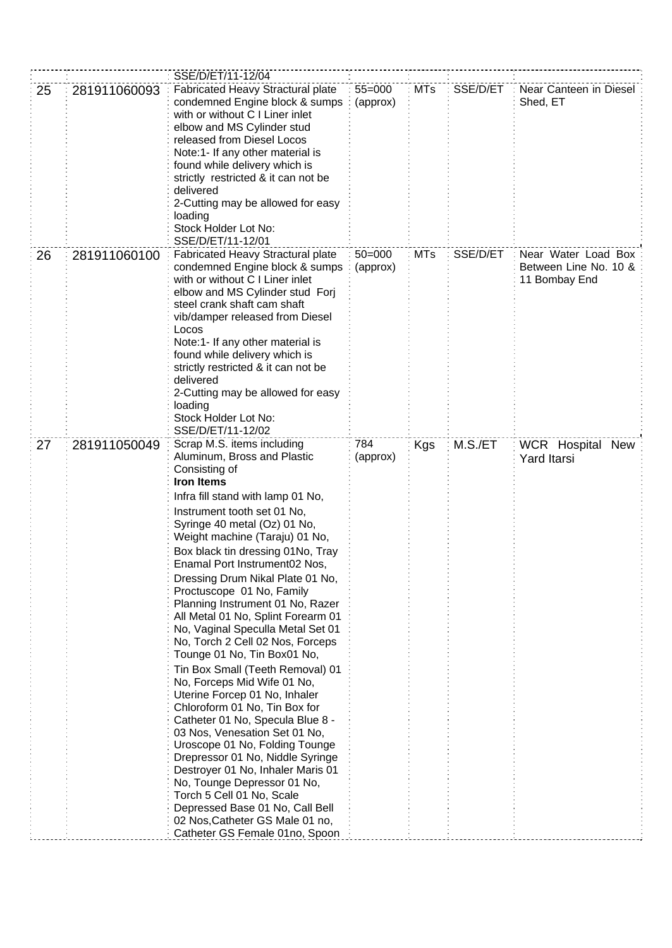|    |              | SSE/D/ET/11-12/04                                                                                                                                                                                                                                                                                                                                                                                                                                                                                                                                                                                                                                                                                                                                                                                                                                                                                                                                                                                                                                       |                        |            |          |                                                               |
|----|--------------|---------------------------------------------------------------------------------------------------------------------------------------------------------------------------------------------------------------------------------------------------------------------------------------------------------------------------------------------------------------------------------------------------------------------------------------------------------------------------------------------------------------------------------------------------------------------------------------------------------------------------------------------------------------------------------------------------------------------------------------------------------------------------------------------------------------------------------------------------------------------------------------------------------------------------------------------------------------------------------------------------------------------------------------------------------|------------------------|------------|----------|---------------------------------------------------------------|
| 25 | 281911060093 | Fabricated Heavy Stractural plate<br>condemned Engine block & sumps<br>with or without C I Liner inlet<br>elbow and MS Cylinder stud<br>released from Diesel Locos<br>Note:1- If any other material is<br>found while delivery which is<br>strictly restricted & it can not be<br>delivered<br>2-Cutting may be allowed for easy<br>loading<br>Stock Holder Lot No:<br>SSE/D/ET/11-12/01                                                                                                                                                                                                                                                                                                                                                                                                                                                                                                                                                                                                                                                                | $55=000$<br>(approx)   | <b>MTs</b> | SSE/D/ET | Near Canteen in Diesel<br>Shed, ET                            |
| 26 | 281911060100 | Fabricated Heavy Stractural plate<br>condemned Engine block & sumps<br>with or without C I Liner inlet<br>elbow and MS Cylinder stud Forj<br>steel crank shaft cam shaft<br>vib/damper released from Diesel<br>Locos<br>Note:1- If any other material is<br>found while delivery which is<br>strictly restricted & it can not be<br>delivered<br>2-Cutting may be allowed for easy<br>loading<br>Stock Holder Lot No:<br>SSE/D/ET/11-12/02                                                                                                                                                                                                                                                                                                                                                                                                                                                                                                                                                                                                              | $50 = 000$<br>(approx) | <b>MTs</b> | SSE/D/ET | Near Water Load Box<br>Between Line No. 10 &<br>11 Bombay End |
| 27 | 281911050049 | Scrap M.S. items including<br>Aluminum, Bross and Plastic<br>Consisting of<br><b>Iron Items</b><br>Infra fill stand with lamp 01 No,<br>Instrument tooth set 01 No,<br>Syringe 40 metal (Oz) 01 No,<br>Weight machine (Taraju) 01 No,<br>Box black tin dressing 01No, Tray<br>Enamal Port Instrument02 Nos,<br>Dressing Drum Nikal Plate 01 No,<br>Proctuscope 01 No, Family<br>Planning Instrument 01 No, Razer<br>All Metal 01 No, Splint Forearm 01<br>No, Vaginal Speculla Metal Set 01<br>No, Torch 2 Cell 02 Nos, Forceps<br>Tounge 01 No, Tin Box01 No,<br>Tin Box Small (Teeth Removal) 01<br>No, Forceps Mid Wife 01 No,<br>Uterine Forcep 01 No, Inhaler<br>Chloroform 01 No, Tin Box for<br>Catheter 01 No, Specula Blue 8 -<br>03 Nos, Venesation Set 01 No,<br>Uroscope 01 No, Folding Tounge<br>Drepressor 01 No, Niddle Syringe<br>Destroyer 01 No, Inhaler Maris 01<br>No, Tounge Depressor 01 No,<br>Torch 5 Cell 01 No, Scale<br>Depressed Base 01 No, Call Bell<br>02 Nos, Catheter GS Male 01 no,<br>Catheter GS Female 01no, Spoon | 784<br>(approx)        | Kgs        | M.S./ET  | WCR Hospital New<br><b>Yard Itarsi</b>                        |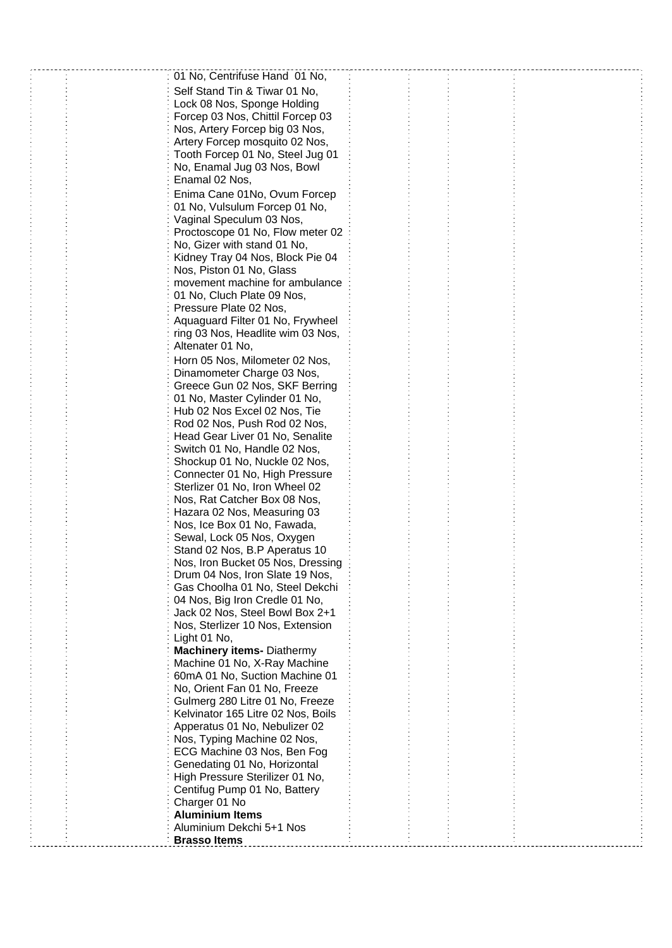| 01 No, Centrifuse Hand 01 No,<br>Self Stand Tin & Tiwar 01 No,<br>Lock 08 Nos, Sponge Holding<br>Forcep 03 Nos, Chittil Forcep 03<br>Nos, Artery Forcep big 03 Nos,<br>Artery Forcep mosquito 02 Nos,<br>Tooth Forcep 01 No, Steel Jug 01<br>No, Enamal Jug 03 Nos, Bowl<br>Enamal 02 Nos,<br>Enima Cane 01No, Ovum Forcep<br>01 No, Vulsulum Forcep 01 No,<br>Vaginal Speculum 03 Nos,<br>Proctoscope 01 No, Flow meter 02<br>No, Gizer with stand 01 No,<br>Kidney Tray 04 Nos, Block Pie 04<br>Nos, Piston 01 No, Glass<br>movement machine for ambulance<br>01 No, Cluch Plate 09 Nos,<br>Pressure Plate 02 Nos,<br>Aquaguard Filter 01 No, Frywheel<br>ring 03 Nos, Headlite wim 03 Nos,<br>Altenater 01 No,<br>Horn 05 Nos, Milometer 02 Nos,<br>Dinamometer Charge 03 Nos,<br>Greece Gun 02 Nos, SKF Berring<br>01 No, Master Cylinder 01 No,<br>Hub 02 Nos Excel 02 Nos, Tie<br>Rod 02 Nos, Push Rod 02 Nos,<br>Head Gear Liver 01 No, Senalite<br>Switch 01 No, Handle 02 Nos,<br>Shockup 01 No, Nuckle 02 Nos,<br>Connecter 01 No, High Pressure<br>Sterlizer 01 No, Iron Wheel 02<br>Nos, Rat Catcher Box 08 Nos,<br>Hazara 02 Nos, Measuring 03<br>Nos, Ice Box 01 No, Fawada,<br>Sewal, Lock 05 Nos, Oxygen<br>Stand 02 Nos, B.P Aperatus 10<br>Nos, Iron Bucket 05 Nos, Dressing<br>Drum 04 Nos, Iron Slate 19 Nos,<br>Gas Choolha 01 No, Steel Dekchi<br>04 Nos, Big Iron Credle 01 No,<br>Jack 02 Nos, Steel Bowl Box 2+1<br>Nos, Sterlizer 10 Nos, Extension<br>Light 01 No,<br><b>Machinery items- Diathermy</b><br>Machine 01 No, X-Ray Machine<br>60mA 01 No, Suction Machine 01<br>No, Orient Fan 01 No, Freeze<br>Gulmerg 280 Litre 01 No, Freeze<br>Kelvinator 165 Litre 02 Nos, Boils<br>Apperatus 01 No, Nebulizer 02<br>Nos, Typing Machine 02 Nos,<br>ECG Machine 03 Nos, Ben Fog<br>Genedating 01 No, Horizontal<br>High Pressure Sterilizer 01 No,<br>Centifug Pump 01 No, Battery<br>Charger 01 No<br><b>Aluminium Items</b><br>Aluminium Dekchi 5+1 Nos<br><b>Brasso Items</b> |  |  |  |
|---------------------------------------------------------------------------------------------------------------------------------------------------------------------------------------------------------------------------------------------------------------------------------------------------------------------------------------------------------------------------------------------------------------------------------------------------------------------------------------------------------------------------------------------------------------------------------------------------------------------------------------------------------------------------------------------------------------------------------------------------------------------------------------------------------------------------------------------------------------------------------------------------------------------------------------------------------------------------------------------------------------------------------------------------------------------------------------------------------------------------------------------------------------------------------------------------------------------------------------------------------------------------------------------------------------------------------------------------------------------------------------------------------------------------------------------------------------------------------------------------------------------------------------------------------------------------------------------------------------------------------------------------------------------------------------------------------------------------------------------------------------------------------------------------------------------------------------------------------------------------------------------------------------------------------------------------------------------------------------------------------------|--|--|--|
|                                                                                                                                                                                                                                                                                                                                                                                                                                                                                                                                                                                                                                                                                                                                                                                                                                                                                                                                                                                                                                                                                                                                                                                                                                                                                                                                                                                                                                                                                                                                                                                                                                                                                                                                                                                                                                                                                                                                                                                                               |  |  |  |
|                                                                                                                                                                                                                                                                                                                                                                                                                                                                                                                                                                                                                                                                                                                                                                                                                                                                                                                                                                                                                                                                                                                                                                                                                                                                                                                                                                                                                                                                                                                                                                                                                                                                                                                                                                                                                                                                                                                                                                                                               |  |  |  |
|                                                                                                                                                                                                                                                                                                                                                                                                                                                                                                                                                                                                                                                                                                                                                                                                                                                                                                                                                                                                                                                                                                                                                                                                                                                                                                                                                                                                                                                                                                                                                                                                                                                                                                                                                                                                                                                                                                                                                                                                               |  |  |  |
|                                                                                                                                                                                                                                                                                                                                                                                                                                                                                                                                                                                                                                                                                                                                                                                                                                                                                                                                                                                                                                                                                                                                                                                                                                                                                                                                                                                                                                                                                                                                                                                                                                                                                                                                                                                                                                                                                                                                                                                                               |  |  |  |
|                                                                                                                                                                                                                                                                                                                                                                                                                                                                                                                                                                                                                                                                                                                                                                                                                                                                                                                                                                                                                                                                                                                                                                                                                                                                                                                                                                                                                                                                                                                                                                                                                                                                                                                                                                                                                                                                                                                                                                                                               |  |  |  |
|                                                                                                                                                                                                                                                                                                                                                                                                                                                                                                                                                                                                                                                                                                                                                                                                                                                                                                                                                                                                                                                                                                                                                                                                                                                                                                                                                                                                                                                                                                                                                                                                                                                                                                                                                                                                                                                                                                                                                                                                               |  |  |  |
|                                                                                                                                                                                                                                                                                                                                                                                                                                                                                                                                                                                                                                                                                                                                                                                                                                                                                                                                                                                                                                                                                                                                                                                                                                                                                                                                                                                                                                                                                                                                                                                                                                                                                                                                                                                                                                                                                                                                                                                                               |  |  |  |
|                                                                                                                                                                                                                                                                                                                                                                                                                                                                                                                                                                                                                                                                                                                                                                                                                                                                                                                                                                                                                                                                                                                                                                                                                                                                                                                                                                                                                                                                                                                                                                                                                                                                                                                                                                                                                                                                                                                                                                                                               |  |  |  |
|                                                                                                                                                                                                                                                                                                                                                                                                                                                                                                                                                                                                                                                                                                                                                                                                                                                                                                                                                                                                                                                                                                                                                                                                                                                                                                                                                                                                                                                                                                                                                                                                                                                                                                                                                                                                                                                                                                                                                                                                               |  |  |  |
|                                                                                                                                                                                                                                                                                                                                                                                                                                                                                                                                                                                                                                                                                                                                                                                                                                                                                                                                                                                                                                                                                                                                                                                                                                                                                                                                                                                                                                                                                                                                                                                                                                                                                                                                                                                                                                                                                                                                                                                                               |  |  |  |
|                                                                                                                                                                                                                                                                                                                                                                                                                                                                                                                                                                                                                                                                                                                                                                                                                                                                                                                                                                                                                                                                                                                                                                                                                                                                                                                                                                                                                                                                                                                                                                                                                                                                                                                                                                                                                                                                                                                                                                                                               |  |  |  |
|                                                                                                                                                                                                                                                                                                                                                                                                                                                                                                                                                                                                                                                                                                                                                                                                                                                                                                                                                                                                                                                                                                                                                                                                                                                                                                                                                                                                                                                                                                                                                                                                                                                                                                                                                                                                                                                                                                                                                                                                               |  |  |  |
|                                                                                                                                                                                                                                                                                                                                                                                                                                                                                                                                                                                                                                                                                                                                                                                                                                                                                                                                                                                                                                                                                                                                                                                                                                                                                                                                                                                                                                                                                                                                                                                                                                                                                                                                                                                                                                                                                                                                                                                                               |  |  |  |
|                                                                                                                                                                                                                                                                                                                                                                                                                                                                                                                                                                                                                                                                                                                                                                                                                                                                                                                                                                                                                                                                                                                                                                                                                                                                                                                                                                                                                                                                                                                                                                                                                                                                                                                                                                                                                                                                                                                                                                                                               |  |  |  |
|                                                                                                                                                                                                                                                                                                                                                                                                                                                                                                                                                                                                                                                                                                                                                                                                                                                                                                                                                                                                                                                                                                                                                                                                                                                                                                                                                                                                                                                                                                                                                                                                                                                                                                                                                                                                                                                                                                                                                                                                               |  |  |  |
|                                                                                                                                                                                                                                                                                                                                                                                                                                                                                                                                                                                                                                                                                                                                                                                                                                                                                                                                                                                                                                                                                                                                                                                                                                                                                                                                                                                                                                                                                                                                                                                                                                                                                                                                                                                                                                                                                                                                                                                                               |  |  |  |
|                                                                                                                                                                                                                                                                                                                                                                                                                                                                                                                                                                                                                                                                                                                                                                                                                                                                                                                                                                                                                                                                                                                                                                                                                                                                                                                                                                                                                                                                                                                                                                                                                                                                                                                                                                                                                                                                                                                                                                                                               |  |  |  |
|                                                                                                                                                                                                                                                                                                                                                                                                                                                                                                                                                                                                                                                                                                                                                                                                                                                                                                                                                                                                                                                                                                                                                                                                                                                                                                                                                                                                                                                                                                                                                                                                                                                                                                                                                                                                                                                                                                                                                                                                               |  |  |  |
|                                                                                                                                                                                                                                                                                                                                                                                                                                                                                                                                                                                                                                                                                                                                                                                                                                                                                                                                                                                                                                                                                                                                                                                                                                                                                                                                                                                                                                                                                                                                                                                                                                                                                                                                                                                                                                                                                                                                                                                                               |  |  |  |
|                                                                                                                                                                                                                                                                                                                                                                                                                                                                                                                                                                                                                                                                                                                                                                                                                                                                                                                                                                                                                                                                                                                                                                                                                                                                                                                                                                                                                                                                                                                                                                                                                                                                                                                                                                                                                                                                                                                                                                                                               |  |  |  |
|                                                                                                                                                                                                                                                                                                                                                                                                                                                                                                                                                                                                                                                                                                                                                                                                                                                                                                                                                                                                                                                                                                                                                                                                                                                                                                                                                                                                                                                                                                                                                                                                                                                                                                                                                                                                                                                                                                                                                                                                               |  |  |  |
|                                                                                                                                                                                                                                                                                                                                                                                                                                                                                                                                                                                                                                                                                                                                                                                                                                                                                                                                                                                                                                                                                                                                                                                                                                                                                                                                                                                                                                                                                                                                                                                                                                                                                                                                                                                                                                                                                                                                                                                                               |  |  |  |
|                                                                                                                                                                                                                                                                                                                                                                                                                                                                                                                                                                                                                                                                                                                                                                                                                                                                                                                                                                                                                                                                                                                                                                                                                                                                                                                                                                                                                                                                                                                                                                                                                                                                                                                                                                                                                                                                                                                                                                                                               |  |  |  |
|                                                                                                                                                                                                                                                                                                                                                                                                                                                                                                                                                                                                                                                                                                                                                                                                                                                                                                                                                                                                                                                                                                                                                                                                                                                                                                                                                                                                                                                                                                                                                                                                                                                                                                                                                                                                                                                                                                                                                                                                               |  |  |  |
|                                                                                                                                                                                                                                                                                                                                                                                                                                                                                                                                                                                                                                                                                                                                                                                                                                                                                                                                                                                                                                                                                                                                                                                                                                                                                                                                                                                                                                                                                                                                                                                                                                                                                                                                                                                                                                                                                                                                                                                                               |  |  |  |
|                                                                                                                                                                                                                                                                                                                                                                                                                                                                                                                                                                                                                                                                                                                                                                                                                                                                                                                                                                                                                                                                                                                                                                                                                                                                                                                                                                                                                                                                                                                                                                                                                                                                                                                                                                                                                                                                                                                                                                                                               |  |  |  |
|                                                                                                                                                                                                                                                                                                                                                                                                                                                                                                                                                                                                                                                                                                                                                                                                                                                                                                                                                                                                                                                                                                                                                                                                                                                                                                                                                                                                                                                                                                                                                                                                                                                                                                                                                                                                                                                                                                                                                                                                               |  |  |  |
|                                                                                                                                                                                                                                                                                                                                                                                                                                                                                                                                                                                                                                                                                                                                                                                                                                                                                                                                                                                                                                                                                                                                                                                                                                                                                                                                                                                                                                                                                                                                                                                                                                                                                                                                                                                                                                                                                                                                                                                                               |  |  |  |
|                                                                                                                                                                                                                                                                                                                                                                                                                                                                                                                                                                                                                                                                                                                                                                                                                                                                                                                                                                                                                                                                                                                                                                                                                                                                                                                                                                                                                                                                                                                                                                                                                                                                                                                                                                                                                                                                                                                                                                                                               |  |  |  |
|                                                                                                                                                                                                                                                                                                                                                                                                                                                                                                                                                                                                                                                                                                                                                                                                                                                                                                                                                                                                                                                                                                                                                                                                                                                                                                                                                                                                                                                                                                                                                                                                                                                                                                                                                                                                                                                                                                                                                                                                               |  |  |  |
|                                                                                                                                                                                                                                                                                                                                                                                                                                                                                                                                                                                                                                                                                                                                                                                                                                                                                                                                                                                                                                                                                                                                                                                                                                                                                                                                                                                                                                                                                                                                                                                                                                                                                                                                                                                                                                                                                                                                                                                                               |  |  |  |
|                                                                                                                                                                                                                                                                                                                                                                                                                                                                                                                                                                                                                                                                                                                                                                                                                                                                                                                                                                                                                                                                                                                                                                                                                                                                                                                                                                                                                                                                                                                                                                                                                                                                                                                                                                                                                                                                                                                                                                                                               |  |  |  |
|                                                                                                                                                                                                                                                                                                                                                                                                                                                                                                                                                                                                                                                                                                                                                                                                                                                                                                                                                                                                                                                                                                                                                                                                                                                                                                                                                                                                                                                                                                                                                                                                                                                                                                                                                                                                                                                                                                                                                                                                               |  |  |  |
|                                                                                                                                                                                                                                                                                                                                                                                                                                                                                                                                                                                                                                                                                                                                                                                                                                                                                                                                                                                                                                                                                                                                                                                                                                                                                                                                                                                                                                                                                                                                                                                                                                                                                                                                                                                                                                                                                                                                                                                                               |  |  |  |
|                                                                                                                                                                                                                                                                                                                                                                                                                                                                                                                                                                                                                                                                                                                                                                                                                                                                                                                                                                                                                                                                                                                                                                                                                                                                                                                                                                                                                                                                                                                                                                                                                                                                                                                                                                                                                                                                                                                                                                                                               |  |  |  |
|                                                                                                                                                                                                                                                                                                                                                                                                                                                                                                                                                                                                                                                                                                                                                                                                                                                                                                                                                                                                                                                                                                                                                                                                                                                                                                                                                                                                                                                                                                                                                                                                                                                                                                                                                                                                                                                                                                                                                                                                               |  |  |  |
|                                                                                                                                                                                                                                                                                                                                                                                                                                                                                                                                                                                                                                                                                                                                                                                                                                                                                                                                                                                                                                                                                                                                                                                                                                                                                                                                                                                                                                                                                                                                                                                                                                                                                                                                                                                                                                                                                                                                                                                                               |  |  |  |
|                                                                                                                                                                                                                                                                                                                                                                                                                                                                                                                                                                                                                                                                                                                                                                                                                                                                                                                                                                                                                                                                                                                                                                                                                                                                                                                                                                                                                                                                                                                                                                                                                                                                                                                                                                                                                                                                                                                                                                                                               |  |  |  |
|                                                                                                                                                                                                                                                                                                                                                                                                                                                                                                                                                                                                                                                                                                                                                                                                                                                                                                                                                                                                                                                                                                                                                                                                                                                                                                                                                                                                                                                                                                                                                                                                                                                                                                                                                                                                                                                                                                                                                                                                               |  |  |  |
|                                                                                                                                                                                                                                                                                                                                                                                                                                                                                                                                                                                                                                                                                                                                                                                                                                                                                                                                                                                                                                                                                                                                                                                                                                                                                                                                                                                                                                                                                                                                                                                                                                                                                                                                                                                                                                                                                                                                                                                                               |  |  |  |
|                                                                                                                                                                                                                                                                                                                                                                                                                                                                                                                                                                                                                                                                                                                                                                                                                                                                                                                                                                                                                                                                                                                                                                                                                                                                                                                                                                                                                                                                                                                                                                                                                                                                                                                                                                                                                                                                                                                                                                                                               |  |  |  |
|                                                                                                                                                                                                                                                                                                                                                                                                                                                                                                                                                                                                                                                                                                                                                                                                                                                                                                                                                                                                                                                                                                                                                                                                                                                                                                                                                                                                                                                                                                                                                                                                                                                                                                                                                                                                                                                                                                                                                                                                               |  |  |  |
|                                                                                                                                                                                                                                                                                                                                                                                                                                                                                                                                                                                                                                                                                                                                                                                                                                                                                                                                                                                                                                                                                                                                                                                                                                                                                                                                                                                                                                                                                                                                                                                                                                                                                                                                                                                                                                                                                                                                                                                                               |  |  |  |
|                                                                                                                                                                                                                                                                                                                                                                                                                                                                                                                                                                                                                                                                                                                                                                                                                                                                                                                                                                                                                                                                                                                                                                                                                                                                                                                                                                                                                                                                                                                                                                                                                                                                                                                                                                                                                                                                                                                                                                                                               |  |  |  |
|                                                                                                                                                                                                                                                                                                                                                                                                                                                                                                                                                                                                                                                                                                                                                                                                                                                                                                                                                                                                                                                                                                                                                                                                                                                                                                                                                                                                                                                                                                                                                                                                                                                                                                                                                                                                                                                                                                                                                                                                               |  |  |  |
|                                                                                                                                                                                                                                                                                                                                                                                                                                                                                                                                                                                                                                                                                                                                                                                                                                                                                                                                                                                                                                                                                                                                                                                                                                                                                                                                                                                                                                                                                                                                                                                                                                                                                                                                                                                                                                                                                                                                                                                                               |  |  |  |
|                                                                                                                                                                                                                                                                                                                                                                                                                                                                                                                                                                                                                                                                                                                                                                                                                                                                                                                                                                                                                                                                                                                                                                                                                                                                                                                                                                                                                                                                                                                                                                                                                                                                                                                                                                                                                                                                                                                                                                                                               |  |  |  |
|                                                                                                                                                                                                                                                                                                                                                                                                                                                                                                                                                                                                                                                                                                                                                                                                                                                                                                                                                                                                                                                                                                                                                                                                                                                                                                                                                                                                                                                                                                                                                                                                                                                                                                                                                                                                                                                                                                                                                                                                               |  |  |  |
|                                                                                                                                                                                                                                                                                                                                                                                                                                                                                                                                                                                                                                                                                                                                                                                                                                                                                                                                                                                                                                                                                                                                                                                                                                                                                                                                                                                                                                                                                                                                                                                                                                                                                                                                                                                                                                                                                                                                                                                                               |  |  |  |
|                                                                                                                                                                                                                                                                                                                                                                                                                                                                                                                                                                                                                                                                                                                                                                                                                                                                                                                                                                                                                                                                                                                                                                                                                                                                                                                                                                                                                                                                                                                                                                                                                                                                                                                                                                                                                                                                                                                                                                                                               |  |  |  |
|                                                                                                                                                                                                                                                                                                                                                                                                                                                                                                                                                                                                                                                                                                                                                                                                                                                                                                                                                                                                                                                                                                                                                                                                                                                                                                                                                                                                                                                                                                                                                                                                                                                                                                                                                                                                                                                                                                                                                                                                               |  |  |  |
|                                                                                                                                                                                                                                                                                                                                                                                                                                                                                                                                                                                                                                                                                                                                                                                                                                                                                                                                                                                                                                                                                                                                                                                                                                                                                                                                                                                                                                                                                                                                                                                                                                                                                                                                                                                                                                                                                                                                                                                                               |  |  |  |
|                                                                                                                                                                                                                                                                                                                                                                                                                                                                                                                                                                                                                                                                                                                                                                                                                                                                                                                                                                                                                                                                                                                                                                                                                                                                                                                                                                                                                                                                                                                                                                                                                                                                                                                                                                                                                                                                                                                                                                                                               |  |  |  |
|                                                                                                                                                                                                                                                                                                                                                                                                                                                                                                                                                                                                                                                                                                                                                                                                                                                                                                                                                                                                                                                                                                                                                                                                                                                                                                                                                                                                                                                                                                                                                                                                                                                                                                                                                                                                                                                                                                                                                                                                               |  |  |  |
|                                                                                                                                                                                                                                                                                                                                                                                                                                                                                                                                                                                                                                                                                                                                                                                                                                                                                                                                                                                                                                                                                                                                                                                                                                                                                                                                                                                                                                                                                                                                                                                                                                                                                                                                                                                                                                                                                                                                                                                                               |  |  |  |
|                                                                                                                                                                                                                                                                                                                                                                                                                                                                                                                                                                                                                                                                                                                                                                                                                                                                                                                                                                                                                                                                                                                                                                                                                                                                                                                                                                                                                                                                                                                                                                                                                                                                                                                                                                                                                                                                                                                                                                                                               |  |  |  |
|                                                                                                                                                                                                                                                                                                                                                                                                                                                                                                                                                                                                                                                                                                                                                                                                                                                                                                                                                                                                                                                                                                                                                                                                                                                                                                                                                                                                                                                                                                                                                                                                                                                                                                                                                                                                                                                                                                                                                                                                               |  |  |  |
|                                                                                                                                                                                                                                                                                                                                                                                                                                                                                                                                                                                                                                                                                                                                                                                                                                                                                                                                                                                                                                                                                                                                                                                                                                                                                                                                                                                                                                                                                                                                                                                                                                                                                                                                                                                                                                                                                                                                                                                                               |  |  |  |
|                                                                                                                                                                                                                                                                                                                                                                                                                                                                                                                                                                                                                                                                                                                                                                                                                                                                                                                                                                                                                                                                                                                                                                                                                                                                                                                                                                                                                                                                                                                                                                                                                                                                                                                                                                                                                                                                                                                                                                                                               |  |  |  |
|                                                                                                                                                                                                                                                                                                                                                                                                                                                                                                                                                                                                                                                                                                                                                                                                                                                                                                                                                                                                                                                                                                                                                                                                                                                                                                                                                                                                                                                                                                                                                                                                                                                                                                                                                                                                                                                                                                                                                                                                               |  |  |  |
|                                                                                                                                                                                                                                                                                                                                                                                                                                                                                                                                                                                                                                                                                                                                                                                                                                                                                                                                                                                                                                                                                                                                                                                                                                                                                                                                                                                                                                                                                                                                                                                                                                                                                                                                                                                                                                                                                                                                                                                                               |  |  |  |
|                                                                                                                                                                                                                                                                                                                                                                                                                                                                                                                                                                                                                                                                                                                                                                                                                                                                                                                                                                                                                                                                                                                                                                                                                                                                                                                                                                                                                                                                                                                                                                                                                                                                                                                                                                                                                                                                                                                                                                                                               |  |  |  |
|                                                                                                                                                                                                                                                                                                                                                                                                                                                                                                                                                                                                                                                                                                                                                                                                                                                                                                                                                                                                                                                                                                                                                                                                                                                                                                                                                                                                                                                                                                                                                                                                                                                                                                                                                                                                                                                                                                                                                                                                               |  |  |  |
|                                                                                                                                                                                                                                                                                                                                                                                                                                                                                                                                                                                                                                                                                                                                                                                                                                                                                                                                                                                                                                                                                                                                                                                                                                                                                                                                                                                                                                                                                                                                                                                                                                                                                                                                                                                                                                                                                                                                                                                                               |  |  |  |
|                                                                                                                                                                                                                                                                                                                                                                                                                                                                                                                                                                                                                                                                                                                                                                                                                                                                                                                                                                                                                                                                                                                                                                                                                                                                                                                                                                                                                                                                                                                                                                                                                                                                                                                                                                                                                                                                                                                                                                                                               |  |  |  |
|                                                                                                                                                                                                                                                                                                                                                                                                                                                                                                                                                                                                                                                                                                                                                                                                                                                                                                                                                                                                                                                                                                                                                                                                                                                                                                                                                                                                                                                                                                                                                                                                                                                                                                                                                                                                                                                                                                                                                                                                               |  |  |  |
|                                                                                                                                                                                                                                                                                                                                                                                                                                                                                                                                                                                                                                                                                                                                                                                                                                                                                                                                                                                                                                                                                                                                                                                                                                                                                                                                                                                                                                                                                                                                                                                                                                                                                                                                                                                                                                                                                                                                                                                                               |  |  |  |
|                                                                                                                                                                                                                                                                                                                                                                                                                                                                                                                                                                                                                                                                                                                                                                                                                                                                                                                                                                                                                                                                                                                                                                                                                                                                                                                                                                                                                                                                                                                                                                                                                                                                                                                                                                                                                                                                                                                                                                                                               |  |  |  |
|                                                                                                                                                                                                                                                                                                                                                                                                                                                                                                                                                                                                                                                                                                                                                                                                                                                                                                                                                                                                                                                                                                                                                                                                                                                                                                                                                                                                                                                                                                                                                                                                                                                                                                                                                                                                                                                                                                                                                                                                               |  |  |  |
|                                                                                                                                                                                                                                                                                                                                                                                                                                                                                                                                                                                                                                                                                                                                                                                                                                                                                                                                                                                                                                                                                                                                                                                                                                                                                                                                                                                                                                                                                                                                                                                                                                                                                                                                                                                                                                                                                                                                                                                                               |  |  |  |
|                                                                                                                                                                                                                                                                                                                                                                                                                                                                                                                                                                                                                                                                                                                                                                                                                                                                                                                                                                                                                                                                                                                                                                                                                                                                                                                                                                                                                                                                                                                                                                                                                                                                                                                                                                                                                                                                                                                                                                                                               |  |  |  |
|                                                                                                                                                                                                                                                                                                                                                                                                                                                                                                                                                                                                                                                                                                                                                                                                                                                                                                                                                                                                                                                                                                                                                                                                                                                                                                                                                                                                                                                                                                                                                                                                                                                                                                                                                                                                                                                                                                                                                                                                               |  |  |  |
|                                                                                                                                                                                                                                                                                                                                                                                                                                                                                                                                                                                                                                                                                                                                                                                                                                                                                                                                                                                                                                                                                                                                                                                                                                                                                                                                                                                                                                                                                                                                                                                                                                                                                                                                                                                                                                                                                                                                                                                                               |  |  |  |
|                                                                                                                                                                                                                                                                                                                                                                                                                                                                                                                                                                                                                                                                                                                                                                                                                                                                                                                                                                                                                                                                                                                                                                                                                                                                                                                                                                                                                                                                                                                                                                                                                                                                                                                                                                                                                                                                                                                                                                                                               |  |  |  |
|                                                                                                                                                                                                                                                                                                                                                                                                                                                                                                                                                                                                                                                                                                                                                                                                                                                                                                                                                                                                                                                                                                                                                                                                                                                                                                                                                                                                                                                                                                                                                                                                                                                                                                                                                                                                                                                                                                                                                                                                               |  |  |  |
|                                                                                                                                                                                                                                                                                                                                                                                                                                                                                                                                                                                                                                                                                                                                                                                                                                                                                                                                                                                                                                                                                                                                                                                                                                                                                                                                                                                                                                                                                                                                                                                                                                                                                                                                                                                                                                                                                                                                                                                                               |  |  |  |
|                                                                                                                                                                                                                                                                                                                                                                                                                                                                                                                                                                                                                                                                                                                                                                                                                                                                                                                                                                                                                                                                                                                                                                                                                                                                                                                                                                                                                                                                                                                                                                                                                                                                                                                                                                                                                                                                                                                                                                                                               |  |  |  |
|                                                                                                                                                                                                                                                                                                                                                                                                                                                                                                                                                                                                                                                                                                                                                                                                                                                                                                                                                                                                                                                                                                                                                                                                                                                                                                                                                                                                                                                                                                                                                                                                                                                                                                                                                                                                                                                                                                                                                                                                               |  |  |  |
|                                                                                                                                                                                                                                                                                                                                                                                                                                                                                                                                                                                                                                                                                                                                                                                                                                                                                                                                                                                                                                                                                                                                                                                                                                                                                                                                                                                                                                                                                                                                                                                                                                                                                                                                                                                                                                                                                                                                                                                                               |  |  |  |
|                                                                                                                                                                                                                                                                                                                                                                                                                                                                                                                                                                                                                                                                                                                                                                                                                                                                                                                                                                                                                                                                                                                                                                                                                                                                                                                                                                                                                                                                                                                                                                                                                                                                                                                                                                                                                                                                                                                                                                                                               |  |  |  |
|                                                                                                                                                                                                                                                                                                                                                                                                                                                                                                                                                                                                                                                                                                                                                                                                                                                                                                                                                                                                                                                                                                                                                                                                                                                                                                                                                                                                                                                                                                                                                                                                                                                                                                                                                                                                                                                                                                                                                                                                               |  |  |  |
|                                                                                                                                                                                                                                                                                                                                                                                                                                                                                                                                                                                                                                                                                                                                                                                                                                                                                                                                                                                                                                                                                                                                                                                                                                                                                                                                                                                                                                                                                                                                                                                                                                                                                                                                                                                                                                                                                                                                                                                                               |  |  |  |
|                                                                                                                                                                                                                                                                                                                                                                                                                                                                                                                                                                                                                                                                                                                                                                                                                                                                                                                                                                                                                                                                                                                                                                                                                                                                                                                                                                                                                                                                                                                                                                                                                                                                                                                                                                                                                                                                                                                                                                                                               |  |  |  |
|                                                                                                                                                                                                                                                                                                                                                                                                                                                                                                                                                                                                                                                                                                                                                                                                                                                                                                                                                                                                                                                                                                                                                                                                                                                                                                                                                                                                                                                                                                                                                                                                                                                                                                                                                                                                                                                                                                                                                                                                               |  |  |  |
|                                                                                                                                                                                                                                                                                                                                                                                                                                                                                                                                                                                                                                                                                                                                                                                                                                                                                                                                                                                                                                                                                                                                                                                                                                                                                                                                                                                                                                                                                                                                                                                                                                                                                                                                                                                                                                                                                                                                                                                                               |  |  |  |
|                                                                                                                                                                                                                                                                                                                                                                                                                                                                                                                                                                                                                                                                                                                                                                                                                                                                                                                                                                                                                                                                                                                                                                                                                                                                                                                                                                                                                                                                                                                                                                                                                                                                                                                                                                                                                                                                                                                                                                                                               |  |  |  |
|                                                                                                                                                                                                                                                                                                                                                                                                                                                                                                                                                                                                                                                                                                                                                                                                                                                                                                                                                                                                                                                                                                                                                                                                                                                                                                                                                                                                                                                                                                                                                                                                                                                                                                                                                                                                                                                                                                                                                                                                               |  |  |  |
|                                                                                                                                                                                                                                                                                                                                                                                                                                                                                                                                                                                                                                                                                                                                                                                                                                                                                                                                                                                                                                                                                                                                                                                                                                                                                                                                                                                                                                                                                                                                                                                                                                                                                                                                                                                                                                                                                                                                                                                                               |  |  |  |
|                                                                                                                                                                                                                                                                                                                                                                                                                                                                                                                                                                                                                                                                                                                                                                                                                                                                                                                                                                                                                                                                                                                                                                                                                                                                                                                                                                                                                                                                                                                                                                                                                                                                                                                                                                                                                                                                                                                                                                                                               |  |  |  |
|                                                                                                                                                                                                                                                                                                                                                                                                                                                                                                                                                                                                                                                                                                                                                                                                                                                                                                                                                                                                                                                                                                                                                                                                                                                                                                                                                                                                                                                                                                                                                                                                                                                                                                                                                                                                                                                                                                                                                                                                               |  |  |  |
|                                                                                                                                                                                                                                                                                                                                                                                                                                                                                                                                                                                                                                                                                                                                                                                                                                                                                                                                                                                                                                                                                                                                                                                                                                                                                                                                                                                                                                                                                                                                                                                                                                                                                                                                                                                                                                                                                                                                                                                                               |  |  |  |
|                                                                                                                                                                                                                                                                                                                                                                                                                                                                                                                                                                                                                                                                                                                                                                                                                                                                                                                                                                                                                                                                                                                                                                                                                                                                                                                                                                                                                                                                                                                                                                                                                                                                                                                                                                                                                                                                                                                                                                                                               |  |  |  |
|                                                                                                                                                                                                                                                                                                                                                                                                                                                                                                                                                                                                                                                                                                                                                                                                                                                                                                                                                                                                                                                                                                                                                                                                                                                                                                                                                                                                                                                                                                                                                                                                                                                                                                                                                                                                                                                                                                                                                                                                               |  |  |  |
|                                                                                                                                                                                                                                                                                                                                                                                                                                                                                                                                                                                                                                                                                                                                                                                                                                                                                                                                                                                                                                                                                                                                                                                                                                                                                                                                                                                                                                                                                                                                                                                                                                                                                                                                                                                                                                                                                                                                                                                                               |  |  |  |
|                                                                                                                                                                                                                                                                                                                                                                                                                                                                                                                                                                                                                                                                                                                                                                                                                                                                                                                                                                                                                                                                                                                                                                                                                                                                                                                                                                                                                                                                                                                                                                                                                                                                                                                                                                                                                                                                                                                                                                                                               |  |  |  |
|                                                                                                                                                                                                                                                                                                                                                                                                                                                                                                                                                                                                                                                                                                                                                                                                                                                                                                                                                                                                                                                                                                                                                                                                                                                                                                                                                                                                                                                                                                                                                                                                                                                                                                                                                                                                                                                                                                                                                                                                               |  |  |  |
|                                                                                                                                                                                                                                                                                                                                                                                                                                                                                                                                                                                                                                                                                                                                                                                                                                                                                                                                                                                                                                                                                                                                                                                                                                                                                                                                                                                                                                                                                                                                                                                                                                                                                                                                                                                                                                                                                                                                                                                                               |  |  |  |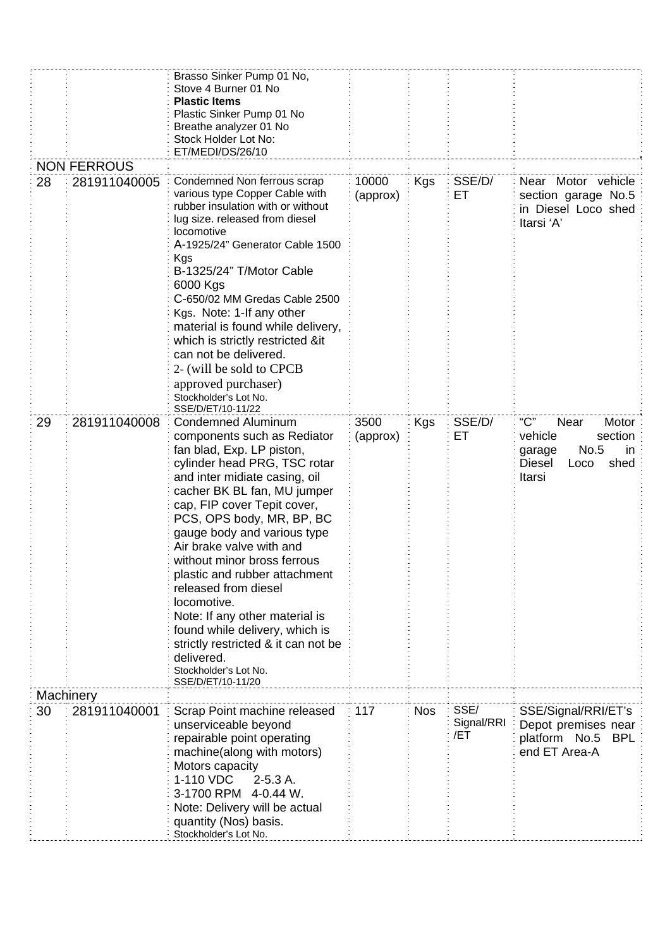|    |                    | Brasso Sinker Pump 01 No,<br>Stove 4 Burner 01 No<br><b>Plastic Items</b><br>Plastic Sinker Pump 01 No<br>Breathe analyzer 01 No<br>Stock Holder Lot No:<br>ET/MEDI/DS/26/10                                                                                                                                                                                                                                                                                                                                                                                                        |                   |            |                           |                                                                                                                |
|----|--------------------|-------------------------------------------------------------------------------------------------------------------------------------------------------------------------------------------------------------------------------------------------------------------------------------------------------------------------------------------------------------------------------------------------------------------------------------------------------------------------------------------------------------------------------------------------------------------------------------|-------------------|------------|---------------------------|----------------------------------------------------------------------------------------------------------------|
|    | <b>NON FERROUS</b> |                                                                                                                                                                                                                                                                                                                                                                                                                                                                                                                                                                                     |                   |            |                           |                                                                                                                |
| 28 | 281911040005       | Condemned Non ferrous scrap<br>various type Copper Cable with<br>rubber insulation with or without<br>lug size. released from diesel<br>locomotive<br>A-1925/24" Generator Cable 1500<br>Kgs<br>B-1325/24" T/Motor Cable<br>6000 Kgs<br>C-650/02 MM Gredas Cable 2500<br>Kgs. Note: 1-If any other<br>material is found while delivery,<br>which is strictly restricted ⁢<br>can not be delivered.<br>2- (will be sold to CPCB<br>approved purchaser)<br>Stockholder's Lot No.<br>SSE/D/ET/10-11/22                                                                                 | 10000<br>(approx) | Kgs        | SSE/D/<br>ЕT              | Near Motor vehicle<br>section garage No.5<br>in Diesel Loco shed<br>Itarsi 'A'                                 |
| 29 | 281911040008       | Condemned Aluminum<br>components such as Rediator<br>fan blad, Exp. LP piston,<br>cylinder head PRG, TSC rotar<br>and inter midiate casing, oil<br>cacher BK BL fan, MU jumper<br>cap, FIP cover Tepit cover,<br>PCS, OPS body, MR, BP, BC<br>gauge body and various type<br>Air brake valve with and<br>without minor bross ferrous<br>plastic and rubber attachment<br>released from diesel<br>locomotive.<br>Note: If any other material is<br>found while delivery, which is<br>strictly restricted & it can not be<br>delivered.<br>Stockholder's Lot No.<br>SSE/D/ET/10-11/20 | 3500<br>(approx)  | Kgs        | SSE/D/<br>EТ              | "C"<br>Near<br>Motor<br>vehicle<br>section<br>No.5<br>in.<br>garage<br><b>Diesel</b><br>shed<br>Loco<br>Itarsi |
|    | <b>Machinery</b>   |                                                                                                                                                                                                                                                                                                                                                                                                                                                                                                                                                                                     |                   |            |                           |                                                                                                                |
| 30 | 281911040001       | Scrap Point machine released<br>unserviceable beyond<br>repairable point operating<br>machine(along with motors)<br>Motors capacity<br>1-110 VDC<br>2-5.3 A.<br>3-1700 RPM 4-0.44 W.<br>Note: Delivery will be actual<br>quantity (Nos) basis.<br>Stockholder's Lot No.                                                                                                                                                                                                                                                                                                             | 117               | <b>Nos</b> | SSE/<br>Signal/RRI<br>/ET | SSE/Signal/RRI/ET's<br>Depot premises near<br>platform No.5<br><b>BPL</b><br>end ET Area-A                     |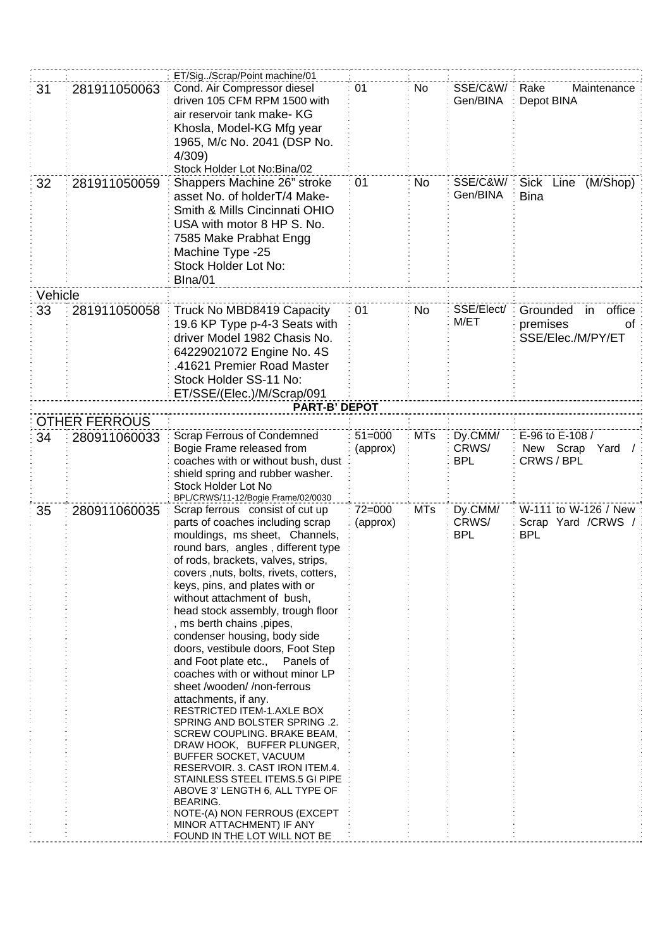|         |                      | ET/Sig. /Scrap/Point machine/01                                                                                                                                                                                                                                                                                                                                                                                                                                                                                                                                                                                                                                                                                                                                                                                                                                                                                                             |                        |            |                                |                                                                 |
|---------|----------------------|---------------------------------------------------------------------------------------------------------------------------------------------------------------------------------------------------------------------------------------------------------------------------------------------------------------------------------------------------------------------------------------------------------------------------------------------------------------------------------------------------------------------------------------------------------------------------------------------------------------------------------------------------------------------------------------------------------------------------------------------------------------------------------------------------------------------------------------------------------------------------------------------------------------------------------------------|------------------------|------------|--------------------------------|-----------------------------------------------------------------|
| 31      | 281911050063         | Cond. Air Compressor diesel<br>driven 105 CFM RPM 1500 with<br>air reservoir tank make- KG                                                                                                                                                                                                                                                                                                                                                                                                                                                                                                                                                                                                                                                                                                                                                                                                                                                  | 01                     | No         | SSE/C&W/<br>Gen/BINA           | Rake<br>Maintenance<br>Depot BINA                               |
|         |                      | Khosla, Model-KG Mfg year<br>1965, M/c No. 2041 (DSP No.<br>4/309)                                                                                                                                                                                                                                                                                                                                                                                                                                                                                                                                                                                                                                                                                                                                                                                                                                                                          |                        |            |                                |                                                                 |
|         |                      | Stock Holder Lot No:Bina/02                                                                                                                                                                                                                                                                                                                                                                                                                                                                                                                                                                                                                                                                                                                                                                                                                                                                                                                 |                        |            |                                |                                                                 |
| 32      | 281911050059         | Shappers Machine 26" stroke<br>asset No. of holderT/4 Make-<br>Smith & Mills Cincinnati OHIO<br>USA with motor 8 HP S. No.<br>7585 Make Prabhat Engg<br>Machine Type -25<br>Stock Holder Lot No:<br>Blna/01                                                                                                                                                                                                                                                                                                                                                                                                                                                                                                                                                                                                                                                                                                                                 | 01                     | No         | SSE/C&W/<br>Gen/BINA           | <b>Sick</b><br>Line<br>(M/Shop)<br><b>Bina</b>                  |
| Vehicle |                      |                                                                                                                                                                                                                                                                                                                                                                                                                                                                                                                                                                                                                                                                                                                                                                                                                                                                                                                                             |                        |            |                                |                                                                 |
| 33      | 281911050058         | Truck No MBD8419 Capacity<br>19.6 KP Type p-4-3 Seats with<br>driver Model 1982 Chasis No.<br>64229021072 Engine No. 4S<br>.41621 Premier Road Master<br>Stock Holder SS-11 No:<br>ET/SSE/(Elec.)/M/Scrap/091                                                                                                                                                                                                                                                                                                                                                                                                                                                                                                                                                                                                                                                                                                                               | 01                     | No.        | SSE/Elect/<br>M/ET             | office<br>Grounded<br>in<br>premises<br>οf<br>SSE/Elec./M/PY/ET |
|         |                      | <b>PART-B' DEPOT</b>                                                                                                                                                                                                                                                                                                                                                                                                                                                                                                                                                                                                                                                                                                                                                                                                                                                                                                                        |                        |            |                                |                                                                 |
|         | <b>OTHER FERROUS</b> |                                                                                                                                                                                                                                                                                                                                                                                                                                                                                                                                                                                                                                                                                                                                                                                                                                                                                                                                             |                        |            |                                |                                                                 |
| 34      | 280911060033         | <b>Scrap Ferrous of Condemned</b>                                                                                                                                                                                                                                                                                                                                                                                                                                                                                                                                                                                                                                                                                                                                                                                                                                                                                                           | $51 = 000$             | <b>MTs</b> | Dy.CMM/                        | E-96 to E-108 /                                                 |
|         |                      | Bogie Frame released from<br>coaches with or without bush, dust<br>shield spring and rubber washer.<br>Stock Holder Lot No<br>BPL/CRWS/11-12/Bogie Frame/02/0030                                                                                                                                                                                                                                                                                                                                                                                                                                                                                                                                                                                                                                                                                                                                                                            | (approx)               |            | CRWS/<br><b>BPL</b>            | New Scrap<br>Yard<br>CRWS / BPL                                 |
| 35      | 280911060035         | Scrap ferrous consist of cut up<br>parts of coaches including scrap<br>mouldings, ms sheet, Channels,<br>round bars, angles, different type<br>of rods, brackets, valves, strips,<br>covers, nuts, bolts, rivets, cotters,<br>keys, pins, and plates with or<br>without attachment of bush,<br>head stock assembly, trough floor<br>, ms berth chains , pipes,<br>condenser housing, body side<br>doors, vestibule doors, Foot Step<br>and Foot plate etc., Panels of<br>coaches with or without minor LP<br>sheet /wooden//non-ferrous<br>attachments, if any.<br>RESTRICTED ITEM-1.AXLE BOX<br>SPRING AND BOLSTER SPRING .2.<br>SCREW COUPLING. BRAKE BEAM,<br>DRAW HOOK, BUFFER PLUNGER,<br>BUFFER SOCKET, VACUUM<br>RESERVOIR. 3. CAST IRON ITEM.4.<br>STAINLESS STEEL ITEMS.5 GI PIPE<br>ABOVE 3' LENGTH 6, ALL TYPE OF<br><b>BEARING.</b><br>NOTE-(A) NON FERROUS (EXCEPT<br>MINOR ATTACHMENT) IF ANY<br>FOUND IN THE LOT WILL NOT BE | $72 = 000$<br>(approx) | <b>MTs</b> | Dy.CMM/<br>CRWS/<br><b>BPL</b> | W-111 to W-126 / New<br>Scrap Yard /CRWS /<br><b>BPL</b>        |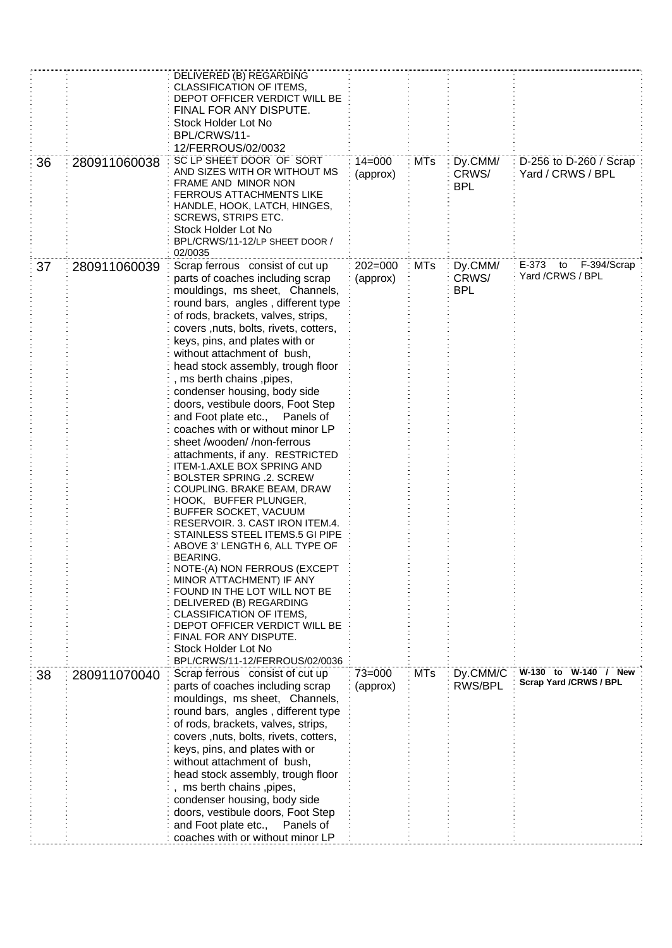|    |              | DELIVERED (B) REGARDING                                            |             |            |            |                               |
|----|--------------|--------------------------------------------------------------------|-------------|------------|------------|-------------------------------|
|    |              | CLASSIFICATION OF ITEMS,                                           |             |            |            |                               |
|    |              | DEPOT OFFICER VERDICT WILL BE                                      |             |            |            |                               |
|    |              | FINAL FOR ANY DISPUTE.                                             |             |            |            |                               |
|    |              | Stock Holder Lot No                                                |             |            |            |                               |
|    |              | BPL/CRWS/11-                                                       |             |            |            |                               |
|    |              | 12/FERROUS/02/0032                                                 |             |            |            |                               |
| 36 | 280911060038 | SC LP SHEET DOOR OF SORT                                           | $14 = 000$  | <b>MTs</b> | Dy.CMM/    | D-256 to D-260 / Scrap        |
|    |              | AND SIZES WITH OR WITHOUT MS                                       | (approx)    |            | CRWS/      | Yard / CRWS / BPL             |
|    |              | FRAME AND MINOR NON                                                |             |            | <b>BPL</b> |                               |
|    |              | <b>FERROUS ATTACHMENTS LIKE</b>                                    |             |            |            |                               |
|    |              | HANDLE, HOOK, LATCH, HINGES,                                       |             |            |            |                               |
|    |              | SCREWS, STRIPS ETC.                                                |             |            |            |                               |
|    |              | Stock Holder Lot No                                                |             |            |            |                               |
|    |              | BPL/CRWS/11-12/LP SHEET DOOR /                                     |             |            |            |                               |
|    |              | 02/0035                                                            |             |            |            |                               |
| 37 | 280911060039 | Scrap ferrous consist of cut up                                    | $202 = 000$ | <b>MTs</b> | Dy.CMM/    | E-373<br>to<br>F-394/Scrap    |
|    |              | parts of coaches including scrap                                   | (approx)    |            | CRWS/      | Yard /CRWS / BPL              |
|    |              | mouldings, ms sheet, Channels,                                     |             |            | <b>BPL</b> |                               |
|    |              | round bars, angles, different type                                 |             |            |            |                               |
|    |              | of rods, brackets, valves, strips,                                 |             |            |            |                               |
|    |              | covers, nuts, bolts, rivets, cotters,                              |             |            |            |                               |
|    |              | keys, pins, and plates with or                                     |             |            |            |                               |
|    |              | without attachment of bush,                                        |             |            |            |                               |
|    |              | head stock assembly, trough floor                                  |             |            |            |                               |
|    |              | , ms berth chains , pipes,                                         |             |            |            |                               |
|    |              | condenser housing, body side                                       |             |            |            |                               |
|    |              | doors, vestibule doors, Foot Step                                  |             |            |            |                               |
|    |              |                                                                    |             |            |            |                               |
|    |              | and Foot plate etc., Panels of                                     |             |            |            |                               |
|    |              | coaches with or without minor LP                                   |             |            |            |                               |
|    |              | sheet /wooden//non-ferrous                                         |             |            |            |                               |
|    |              | attachments, if any. RESTRICTED                                    |             |            |            |                               |
|    |              | ITEM-1.AXLE BOX SPRING AND                                         |             |            |            |                               |
|    |              | <b>BOLSTER SPRING .2. SCREW</b>                                    |             |            |            |                               |
|    |              | COUPLING. BRAKE BEAM, DRAW                                         |             |            |            |                               |
|    |              | HOOK, BUFFER PLUNGER,                                              |             |            |            |                               |
|    |              | BUFFER SOCKET, VACUUM                                              |             |            |            |                               |
|    |              | RESERVOIR. 3. CAST IRON ITEM.4.<br>STAINLESS STEEL ITEMS.5 GI PIPE |             |            |            |                               |
|    |              | ABOVE 3' LENGTH 6, ALL TYPE OF                                     |             |            |            |                               |
|    |              | BEARING.                                                           |             |            |            |                               |
|    |              | NOTE-(A) NON FERROUS (EXCEPT                                       |             |            |            |                               |
|    |              | MINOR ATTACHMENT) IF ANY                                           |             |            |            |                               |
|    |              | FOUND IN THE LOT WILL NOT BE                                       |             |            |            |                               |
|    |              | DELIVERED (B) REGARDING                                            |             |            |            |                               |
|    |              | CLASSIFICATION OF ITEMS,                                           |             |            |            |                               |
|    |              | DEPOT OFFICER VERDICT WILL BE                                      |             |            |            |                               |
|    |              | FINAL FOR ANY DISPUTE.                                             |             |            |            |                               |
|    |              | Stock Holder Lot No                                                |             |            |            |                               |
|    |              | BPL/CRWS/11-12/FERROUS/02/0036                                     |             |            |            |                               |
| 38 | 280911070040 | Scrap ferrous consist of cut up                                    | $73 = 000$  | <b>MTs</b> | Dy.CMM/C   | W-130 to W-140 / New          |
|    |              | parts of coaches including scrap                                   | (approx)    |            | RWS/BPL    | <b>Scrap Yard /CRWS / BPL</b> |
|    |              | mouldings, ms sheet, Channels,                                     |             |            |            |                               |
|    |              | round bars, angles, different type                                 |             |            |            |                               |
|    |              | of rods, brackets, valves, strips,                                 |             |            |            |                               |
|    |              | covers, nuts, bolts, rivets, cotters,                              |             |            |            |                               |
|    |              |                                                                    |             |            |            |                               |
|    |              | keys, pins, and plates with or                                     |             |            |            |                               |
|    |              | without attachment of bush,                                        |             |            |            |                               |
|    |              | head stock assembly, trough floor                                  |             |            |            |                               |
|    |              | , ms berth chains ,pipes,                                          |             |            |            |                               |
|    |              | condenser housing, body side                                       |             |            |            |                               |
|    |              | doors, vestibule doors, Foot Step                                  |             |            |            |                               |
|    |              | and Foot plate etc.,<br>Panels of                                  |             |            |            |                               |
|    |              | coaches with or without minor LP                                   |             |            |            |                               |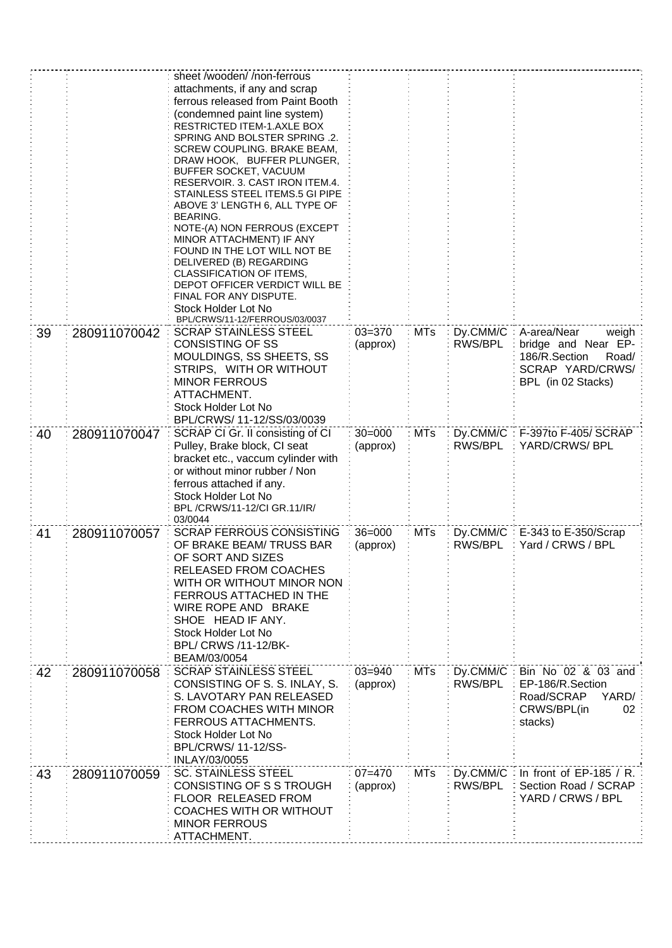|    |              | sheet /wooden/ /non-ferrous                                         |                        |            |                      |                                               |
|----|--------------|---------------------------------------------------------------------|------------------------|------------|----------------------|-----------------------------------------------|
|    |              | attachments, if any and scrap                                       |                        |            |                      |                                               |
|    |              | ferrous released from Paint Booth                                   |                        |            |                      |                                               |
|    |              | (condemned paint line system)                                       |                        |            |                      |                                               |
|    |              | RESTRICTED ITEM-1.AXLE BOX<br>SPRING AND BOLSTER SPRING .2.         |                        |            |                      |                                               |
|    |              | SCREW COUPLING. BRAKE BEAM,                                         |                        |            |                      |                                               |
|    |              | DRAW HOOK, BUFFER PLUNGER,                                          |                        |            |                      |                                               |
|    |              | BUFFER SOCKET, VACUUM                                               |                        |            |                      |                                               |
|    |              | RESERVOIR, 3, CAST IRON ITEM.4.                                     |                        |            |                      |                                               |
|    |              | STAINLESS STEEL ITEMS.5 GI PIPE                                     |                        |            |                      |                                               |
|    |              | ABOVE 3' LENGTH 6, ALL TYPE OF<br><b>BEARING.</b>                   |                        |            |                      |                                               |
|    |              | NOTE-(A) NON FERROUS (EXCEPT                                        |                        |            |                      |                                               |
|    |              | MINOR ATTACHMENT) IF ANY                                            |                        |            |                      |                                               |
|    |              | FOUND IN THE LOT WILL NOT BE                                        |                        |            |                      |                                               |
|    |              | DELIVERED (B) REGARDING<br>CLASSIFICATION OF ITEMS,                 |                        |            |                      |                                               |
|    |              | DEPOT OFFICER VERDICT WILL BE                                       |                        |            |                      |                                               |
|    |              | FINAL FOR ANY DISPUTE.                                              |                        |            |                      |                                               |
|    |              | Stock Holder Lot No                                                 |                        |            |                      |                                               |
|    |              | BPL/CRWS/11-12/FERROUS/03/0037                                      |                        |            |                      |                                               |
| 39 | 280911070042 | <b>SCRAP STAINLESS STEEL</b><br><b>CONSISTING OF SS</b>             | $03 = 370$             | <b>MTs</b> | Dy.CMM/C:<br>RWS/BPL | A-area/Near<br>weigh                          |
|    |              | MOULDINGS, SS SHEETS, SS                                            | (approx)               |            |                      | bridge and Near EP-<br>186/R.Section<br>Road/ |
|    |              | STRIPS, WITH OR WITHOUT                                             |                        |            |                      | SCRAP YARD/CRWS/                              |
|    |              | <b>MINOR FERROUS</b>                                                |                        |            |                      | BPL (in 02 Stacks)                            |
|    |              | ATTACHMENT.                                                         |                        |            |                      |                                               |
|    |              | Stock Holder Lot No                                                 |                        |            |                      |                                               |
|    |              | BPL/CRWS/ 11-12/SS/03/0039                                          |                        |            |                      |                                               |
| 40 | 280911070047 | SCRAP CI Gr. II consisting of CI                                    | $30 = 000$             | <b>MTs</b> | Dy.CMM/C:            | F-397to F-405/ SCRAP                          |
|    |              | Pulley, Brake block, CI seat                                        | (approx)               |            | RWS/BPL              | YARD/CRWS/ BPL                                |
|    |              | bracket etc., vaccum cylinder with<br>or without minor rubber / Non |                        |            |                      |                                               |
|    |              | ferrous attached if any.                                            |                        |            |                      |                                               |
|    |              | Stock Holder Lot No                                                 |                        |            |                      |                                               |
|    |              | BPL/CRWS/11-12/CI GR.11/IR/                                         |                        |            |                      |                                               |
|    |              | 03/0044                                                             |                        |            |                      |                                               |
| 41 | 280911070057 | <b>SCRAP FERROUS CONSISTING</b>                                     | $36 = 000$             | <b>MTs</b> | Dy.CMM/C             | E-343 to E-350/Scrap                          |
|    |              | OF BRAKE BEAM/TRUSS BAR<br>OF SORT AND SIZES                        | (approx)               |            | RWS/BPL              | Yard / CRWS / BPL                             |
|    |              | RELEASED FROM COACHES                                               |                        |            |                      |                                               |
|    |              | WITH OR WITHOUT MINOR NON                                           |                        |            |                      |                                               |
|    |              | FERROUS ATTACHED IN THE                                             |                        |            |                      |                                               |
|    |              | WIRE ROPE AND BRAKE                                                 |                        |            |                      |                                               |
|    |              | SHOE HEAD IF ANY.                                                   |                        |            |                      |                                               |
|    |              | Stock Holder Lot No                                                 |                        |            |                      |                                               |
|    |              | BPL/ CRWS /11-12/BK-                                                |                        |            |                      |                                               |
|    |              | BEAM/03/0054                                                        |                        |            |                      |                                               |
| 42 | 280911070058 | <b>SCRAP STAINLESS STEEL</b><br>CONSISTING OF S. S. INLAY, S.       | $03 = 940$<br>(approx) | <b>MTs</b> | Dy.CMM/C<br>RWS/BPL  | Bin No 02 & 03 and<br>EP-186/R.Section        |
|    |              | S. LAVOTARY PAN RELEASED                                            |                        |            |                      | Road/SCRAP<br>YARD/                           |
|    |              | FROM COACHES WITH MINOR                                             |                        |            |                      | CRWS/BPL(in<br>02                             |
|    |              | FERROUS ATTACHMENTS.                                                |                        |            |                      | stacks)                                       |
|    |              | Stock Holder Lot No                                                 |                        |            |                      |                                               |
|    |              | BPL/CRWS/ 11-12/SS-                                                 |                        |            |                      |                                               |
|    |              | INLAY/03/0055                                                       |                        |            |                      |                                               |
| 43 | 280911070059 | <b>SC. STAINLESS STEEL</b>                                          | $07 = 470$             | <b>MTs</b> | Dy.CMM/C             | In front of $EP-185 / R$ .                    |
|    |              | CONSISTING OF S S TROUGH                                            | (approx)               |            | RWS/BPL              | Section Road / SCRAP                          |
|    |              | FLOOR RELEASED FROM<br>COACHES WITH OR WITHOUT                      |                        |            |                      | YARD / CRWS / BPL                             |
|    |              | <b>MINOR FERROUS</b>                                                |                        |            |                      |                                               |
|    |              | ATTACHMENT.                                                         |                        |            |                      |                                               |
|    |              |                                                                     |                        |            |                      |                                               |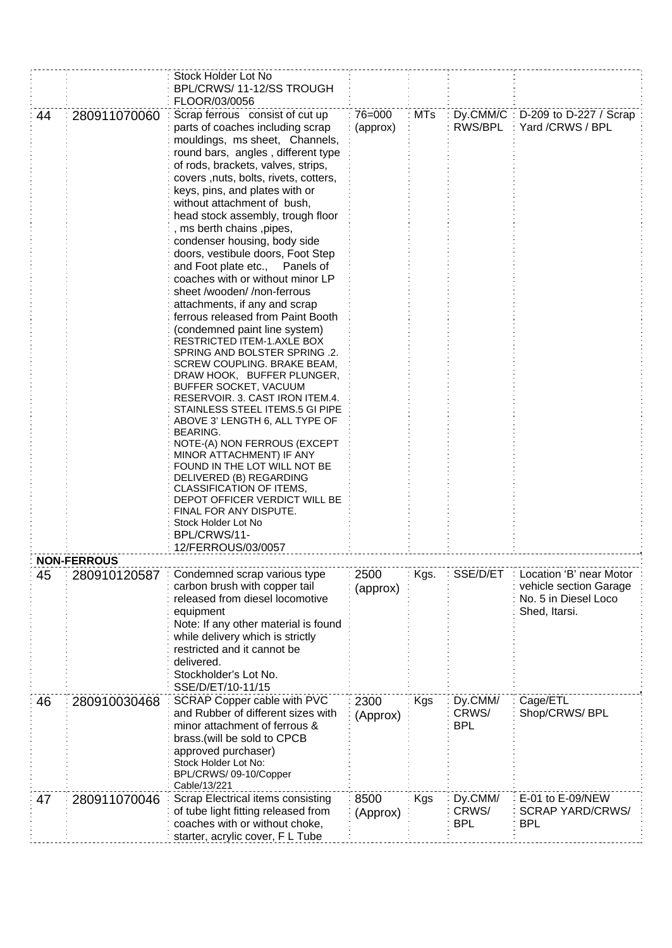|    |                    | Stock Holder Lot No<br>BPL/CRWS/11-12/SS TROUGH<br>FLOOR/03/0056                                                                                                                                                                                                                                                                                                                                                                                                                                                                                                                                                                                                                                                                                                                                                                                                                                                                                                                                                                                                                                                                                                                                      |                    |            |                                |                                                                                            |
|----|--------------------|-------------------------------------------------------------------------------------------------------------------------------------------------------------------------------------------------------------------------------------------------------------------------------------------------------------------------------------------------------------------------------------------------------------------------------------------------------------------------------------------------------------------------------------------------------------------------------------------------------------------------------------------------------------------------------------------------------------------------------------------------------------------------------------------------------------------------------------------------------------------------------------------------------------------------------------------------------------------------------------------------------------------------------------------------------------------------------------------------------------------------------------------------------------------------------------------------------|--------------------|------------|--------------------------------|--------------------------------------------------------------------------------------------|
| 44 | 280911070060       | Scrap ferrous consist of cut up<br>parts of coaches including scrap<br>mouldings, ms sheet, Channels,<br>round bars, angles, different type<br>of rods, brackets, valves, strips,<br>covers, nuts, bolts, rivets, cotters,<br>keys, pins, and plates with or<br>without attachment of bush,<br>head stock assembly, trough floor<br>, ms berth chains , pipes,<br>condenser housing, body side<br>doors, vestibule doors, Foot Step<br>and Foot plate etc.,<br>Panels of<br>coaches with or without minor LP<br>sheet /wooden//non-ferrous<br>attachments, if any and scrap<br>ferrous released from Paint Booth<br>(condemned paint line system)<br>RESTRICTED ITEM-1.AXLE BOX<br>SPRING AND BOLSTER SPRING .2.<br>SCREW COUPLING. BRAKE BEAM,<br>DRAW HOOK, BUFFER PLUNGER,<br>BUFFER SOCKET, VACUUM<br>RESERVOIR. 3. CAST IRON ITEM.4.<br>STAINLESS STEEL ITEMS.5 GI PIPE<br>ABOVE 3' LENGTH 6, ALL TYPE OF<br>BEARING.<br>NOTE-(A) NON FERROUS (EXCEPT<br>MINOR ATTACHMENT) IF ANY<br>FOUND IN THE LOT WILL NOT BE<br>DELIVERED (B) REGARDING<br>CLASSIFICATION OF ITEMS,<br>DEPOT OFFICER VERDICT WILL BE<br>FINAL FOR ANY DISPUTE.<br>Stock Holder Lot No<br>BPL/CRWS/11-<br>12/FERROUS/03/0057 | 76=000<br>(approx) | <b>MTs</b> | $Dy$ .CMM/C:<br>RWS/BPL        | D-209 to D-227 / Scrap<br>Yard /CRWS / BPL                                                 |
|    | <b>NON-FERROUS</b> |                                                                                                                                                                                                                                                                                                                                                                                                                                                                                                                                                                                                                                                                                                                                                                                                                                                                                                                                                                                                                                                                                                                                                                                                       |                    |            |                                |                                                                                            |
| 45 | 280910120587       | Condemned scrap various type<br>carbon brush with copper tail<br>released from diesel locomotive<br>equipment<br>Note: If any other material is found<br>while delivery which is strictly<br>restricted and it cannot be<br>delivered.<br>Stockholder's Lot No.<br>SSE/D/ET/10-11/15                                                                                                                                                                                                                                                                                                                                                                                                                                                                                                                                                                                                                                                                                                                                                                                                                                                                                                                  | 2500<br>(approx)   | Kgs.       | SSE/D/ET                       | Location 'B' near Motor<br>vehicle section Garage<br>No. 5 in Diesel Loco<br>Shed, Itarsi. |
| 46 | 280910030468       | SCRAP Copper cable with PVC<br>and Rubber of different sizes with<br>minor attachment of ferrous &<br>brass.(will be sold to CPCB<br>approved purchaser)<br>Stock Holder Lot No:<br>BPL/CRWS/ 09-10/Copper<br>Cable/13/221                                                                                                                                                                                                                                                                                                                                                                                                                                                                                                                                                                                                                                                                                                                                                                                                                                                                                                                                                                            | 2300<br>(Approx)   | <b>Kgs</b> | Dy.CMM/<br>CRWS/<br><b>BPL</b> | Cage/ETL<br>Shop/CRWS/ BPL                                                                 |
| 47 | 280911070046       | Scrap Electrical items consisting<br>of tube light fitting released from<br>coaches with or without choke,<br>starter, acrylic cover, F L Tube                                                                                                                                                                                                                                                                                                                                                                                                                                                                                                                                                                                                                                                                                                                                                                                                                                                                                                                                                                                                                                                        | 8500<br>(Approx)   | Kgs        | Dy.CMM/<br>CRWS/<br><b>BPL</b> | E-01 to E-09/NEW<br><b>SCRAP YARD/CRWS/</b><br><b>BPL</b>                                  |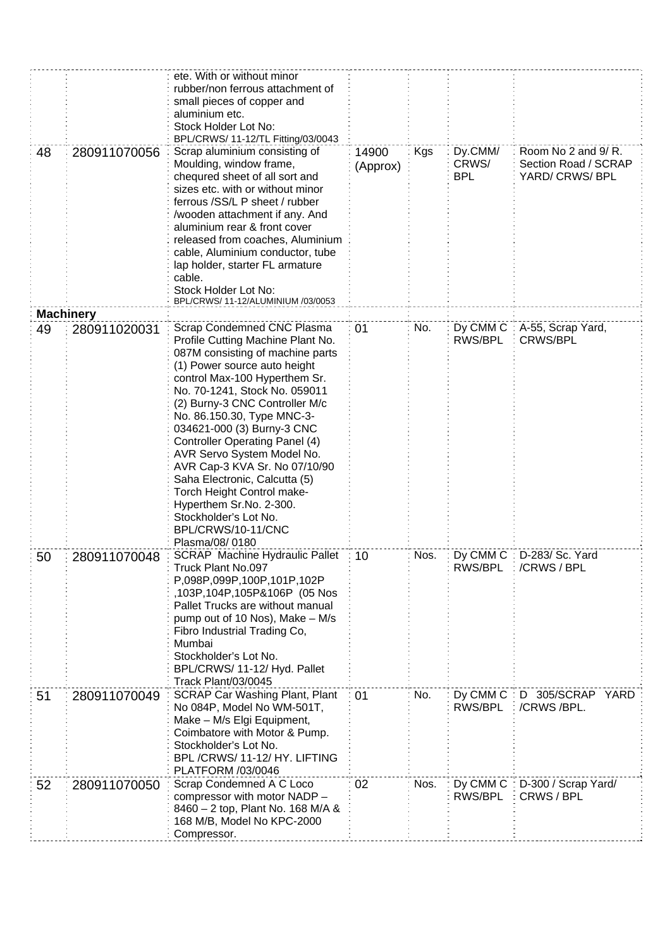|    |                  | ete. With or without minor<br>rubber/non ferrous attachment of<br>small pieces of copper and<br>aluminium etc.<br>Stock Holder Lot No:<br>BPL/CRWS/ 11-12/TL Fitting/03/0043                                                                                                                                                                                                                                                                                                                                                                                    |                   |      |                                |                                                               |
|----|------------------|-----------------------------------------------------------------------------------------------------------------------------------------------------------------------------------------------------------------------------------------------------------------------------------------------------------------------------------------------------------------------------------------------------------------------------------------------------------------------------------------------------------------------------------------------------------------|-------------------|------|--------------------------------|---------------------------------------------------------------|
| 48 | 280911070056     | Scrap aluminium consisting of<br>Moulding, window frame,<br>chequred sheet of all sort and<br>sizes etc. with or without minor<br>ferrous /SS/L P sheet / rubber<br>/wooden attachment if any. And<br>aluminium rear & front cover<br>released from coaches, Aluminium<br>cable, Aluminium conductor, tube<br>lap holder, starter FL armature<br>cable.<br>Stock Holder Lot No:<br>BPL/CRWS/ 11-12/ALUMINIUM /03/0053                                                                                                                                           | 14900<br>(Approx) | Kgs  | Dy.CMM/<br>CRWS/<br><b>BPL</b> | Room No 2 and 9/R.<br>Section Road / SCRAP<br>YARD/ CRWS/ BPL |
|    | <b>Machinery</b> |                                                                                                                                                                                                                                                                                                                                                                                                                                                                                                                                                                 |                   |      |                                |                                                               |
| 49 | 280911020031     | Scrap Condemned CNC Plasma<br>Profile Cutting Machine Plant No.<br>087M consisting of machine parts<br>(1) Power source auto height<br>control Max-100 Hyperthem Sr.<br>No. 70-1241, Stock No. 059011<br>(2) Burny-3 CNC Controller M/c<br>No. 86.150.30, Type MNC-3-<br>034621-000 (3) Burny-3 CNC<br>Controller Operating Panel (4)<br>AVR Servo System Model No.<br>AVR Cap-3 KVA Sr. No 07/10/90<br>Saha Electronic, Calcutta (5)<br>Torch Height Control make-<br>Hyperthem Sr.No. 2-300.<br>Stockholder's Lot No.<br>BPL/CRWS/10-11/CNC<br>Plasma/08/0180 | 01                | No.  | Dy CMM C<br>RWS/BPL            | A-55, Scrap Yard,<br><b>CRWS/BPL</b>                          |
| 50 | 280911070048     | <b>SCRAP</b> Machine Hydraulic Pallet<br>Truck Plant No.097<br>P,098P,099P,100P,101P,102P<br>,103P,104P,105P&106P (05 Nos<br>Pallet Trucks are without manual<br>pump out of 10 Nos), Make - M/s<br>Fibro Industrial Trading Co,<br>Mumbai<br>Stockholder's Lot No.<br>BPL/CRWS/ 11-12/ Hyd. Pallet<br>Track Plant/03/0045                                                                                                                                                                                                                                      | 10                | Nos. | RWS/BPL                        | Dy CMM C : D-283/ Sc. Yard<br>/CRWS / BPL                     |
| 51 | 280911070049     | <b>SCRAP Car Washing Plant, Plant</b><br>No 084P, Model No WM-501T,<br>Make - M/s Elgi Equipment,<br>Coimbatore with Motor & Pump.<br>Stockholder's Lot No.<br>BPL/CRWS/11-12/HY. LIFTING<br>PLATFORM /03/0046                                                                                                                                                                                                                                                                                                                                                  | 01                | No.  | Dy CMM C<br>RWS/BPL            | D 305/SCRAP YARD<br>/CRWS/BPL.                                |
| 52 | 280911070050     | Scrap Condemned A C Loco<br>compressor with motor NADP -<br>8460 - 2 top, Plant No. 168 M/A &<br>168 M/B, Model No KPC-2000<br>Compressor.                                                                                                                                                                                                                                                                                                                                                                                                                      | 02                | Nos. | Dy CMM C:<br>RWS/BPL           | D-300 / Scrap Yard/<br>CRWS / BPL                             |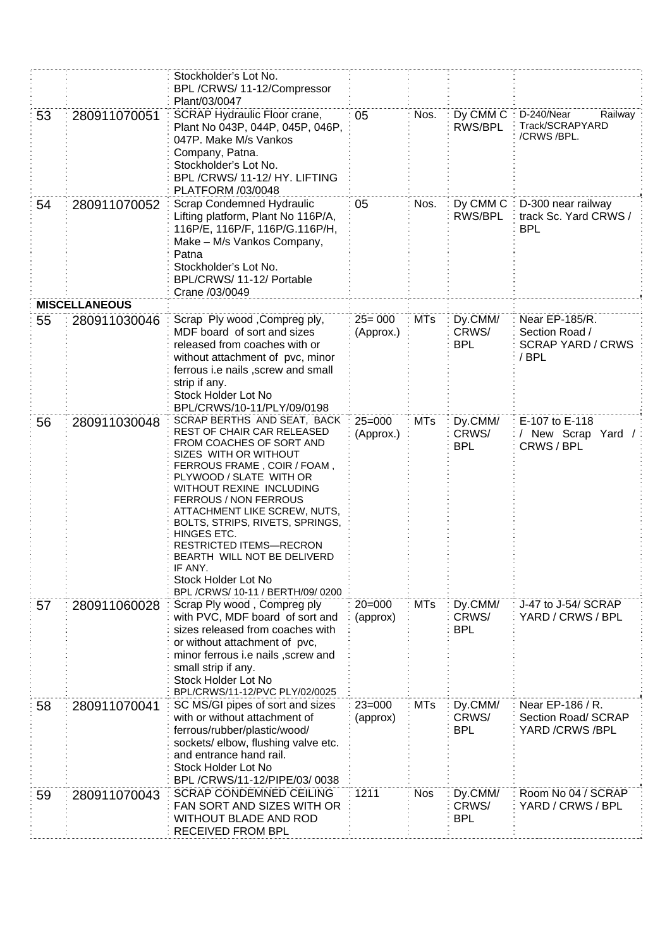|    |                      | Stockholder's Lot No.<br>BPL /CRWS/ 11-12/Compressor<br>Plant/03/0047                                                                                                                                                                                                                                                                                                                                                                                   |                         |            |                                |                                                                      |
|----|----------------------|---------------------------------------------------------------------------------------------------------------------------------------------------------------------------------------------------------------------------------------------------------------------------------------------------------------------------------------------------------------------------------------------------------------------------------------------------------|-------------------------|------------|--------------------------------|----------------------------------------------------------------------|
| 53 | 280911070051         | SCRAP Hydraulic Floor crane,<br>Plant No 043P, 044P, 045P, 046P,<br>047P. Make M/s Vankos<br>Company, Patna.<br>Stockholder's Lot No.<br>BPL/CRWS/11-12/HY. LIFTING<br>PLATFORM /03/0048                                                                                                                                                                                                                                                                | 05                      | Nos.       | Dy CMM C<br>RWS/BPL            | D-240/Near<br>Railway<br>Track/SCRAPYARD<br>/CRWS/BPL.               |
| 54 | 280911070052         | Scrap Condemned Hydraulic<br>Lifting platform, Plant No 116P/A,<br>116P/E, 116P/F, 116P/G.116P/H,<br>Make - M/s Vankos Company,<br>Patna<br>Stockholder's Lot No.<br>BPL/CRWS/ 11-12/ Portable<br>Crane /03/0049                                                                                                                                                                                                                                        | 05                      | Nos.       | Dy CMM C:<br>RWS/BPL           | D-300 near railway<br>track Sc. Yard CRWS /<br><b>BPL</b>            |
|    | <b>MISCELLANEOUS</b> |                                                                                                                                                                                                                                                                                                                                                                                                                                                         |                         |            |                                |                                                                      |
| 55 | 280911030046         | Scrap Ply wood , Compreg ply,<br>MDF board of sort and sizes<br>released from coaches with or<br>without attachment of pvc, minor<br>ferrous i.e nails, screw and small<br>strip if any.<br>Stock Holder Lot No<br>BPL/CRWS/10-11/PLY/09/0198                                                                                                                                                                                                           | $25 = 000$<br>(Approx.) | <b>MTs</b> | Dy.CMM/<br>CRWS/<br><b>BPL</b> | Near EP-185/R.<br>Section Road /<br><b>SCRAP YARD / CRWS</b><br>/BPL |
| 56 | 280911030048         | SCRAP BERTHS AND SEAT, BACK<br>REST OF CHAIR CAR RELEASED<br>FROM COACHES OF SORT AND<br>SIZES WITH OR WITHOUT<br>FERROUS FRAME, COIR / FOAM,<br>PLYWOOD / SLATE WITH OR<br>WITHOUT REXINE INCLUDING<br>FERROUS / NON FERROUS<br>ATTACHMENT LIKE SCREW, NUTS,<br>BOLTS, STRIPS, RIVETS, SPRINGS,<br>HINGES ETC.<br><b>RESTRICTED ITEMS-RECRON</b><br>BEARTH WILL NOT BE DELIVERD<br>IF ANY.<br>Stock Holder Lot No<br>BPL /CRWS/ 10-11 / BERTH/09/ 0200 | $25 = 000$<br>(Approx.) | <b>MTs</b> | Dy.CMM/<br>CRWS/<br><b>BPL</b> | E-107 to E-118<br>/ New Scrap Yard /<br>CRWS / BPL                   |
| 57 | 280911060028         | Scrap Ply wood, Compreg ply<br>with PVC, MDF board of sort and<br>sizes released from coaches with<br>or without attachment of pvc,<br>minor ferrous i.e nails , screw and<br>small strip if any.<br>Stock Holder Lot No<br>BPL/CRWS/11-12/PVC PLY/02/0025                                                                                                                                                                                              | $20 = 000$<br>(approx)  | <b>MTs</b> | Dy.CMM/<br>CRWS/<br><b>BPL</b> | J-47 to J-54/ SCRAP<br>YARD / CRWS / BPL                             |
| 58 | 280911070041         | SC MS/GI pipes of sort and sizes<br>with or without attachment of<br>ferrous/rubber/plastic/wood/<br>sockets/ elbow, flushing valve etc.<br>and entrance hand rail.<br>Stock Holder Lot No<br>BPL /CRWS/11-12/PIPE/03/0038                                                                                                                                                                                                                              | $23 = 000$<br>(approx)  | <b>MTs</b> | Dy.CMM/<br>CRWS/<br><b>BPL</b> | Near EP-186 / R.<br>Section Road/ SCRAP<br>YARD / CRWS / BPL         |
| 59 | 280911070043         | <b>SCRAP CONDEMNED CEILING</b><br>FAN SORT AND SIZES WITH OR<br><b>WITHOUT BLADE AND ROD</b><br><b>RECEIVED FROM BPL</b>                                                                                                                                                                                                                                                                                                                                | 1211                    | <b>Nos</b> | Dy.CMM/<br>CRWS/<br><b>BPL</b> | Room No 04 / SCRAP<br>YARD / CRWS / BPL                              |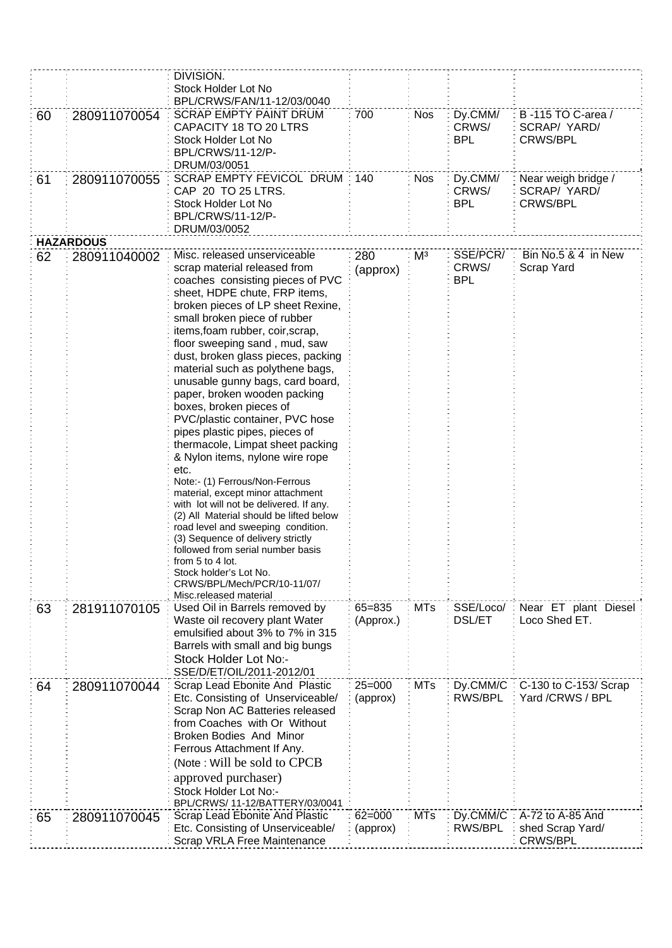|    |                  | DIVISION.<br>Stock Holder Lot No<br>BPL/CRWS/FAN/11-12/03/0040                                                                                                                                                                                                                                                                                                                                                                                                                                                                                                                                                                                                                                                                                                                                                                                                                                                                                                     |                        |                |                                 |                                                         |
|----|------------------|--------------------------------------------------------------------------------------------------------------------------------------------------------------------------------------------------------------------------------------------------------------------------------------------------------------------------------------------------------------------------------------------------------------------------------------------------------------------------------------------------------------------------------------------------------------------------------------------------------------------------------------------------------------------------------------------------------------------------------------------------------------------------------------------------------------------------------------------------------------------------------------------------------------------------------------------------------------------|------------------------|----------------|---------------------------------|---------------------------------------------------------|
| 60 | 280911070054     | <b>SCRAP EMPTY PAINT DRUM</b><br>CAPACITY 18 TO 20 LTRS<br>Stock Holder Lot No<br><b>BPL/CRWS/11-12/P-</b><br>DRUM/03/0051                                                                                                                                                                                                                                                                                                                                                                                                                                                                                                                                                                                                                                                                                                                                                                                                                                         | 700                    | <b>Nos</b>     | Dy.CMM/<br>CRWS/<br><b>BPL</b>  | B-115 TO C-area /<br>SCRAP/ YARD/<br><b>CRWS/BPL</b>    |
| 61 | 280911070055     | SCRAP EMPTY FEVICOL DRUM<br>CAP 20 TO 25 LTRS.<br>Stock Holder Lot No<br>BPL/CRWS/11-12/P-<br>DRUM/03/0052                                                                                                                                                                                                                                                                                                                                                                                                                                                                                                                                                                                                                                                                                                                                                                                                                                                         |                        | <b>Nos</b>     | Dy.CMM/<br>CRWS/<br><b>BPL</b>  | Near weigh bridge /<br>SCRAP/ YARD/<br><b>CRWS/BPL</b>  |
|    | <b>HAZARDOUS</b> |                                                                                                                                                                                                                                                                                                                                                                                                                                                                                                                                                                                                                                                                                                                                                                                                                                                                                                                                                                    |                        |                |                                 |                                                         |
| 62 | 280911040002     | Misc. released unserviceable<br>scrap material released from<br>coaches consisting pieces of PVC<br>sheet, HDPE chute, FRP items,<br>broken pieces of LP sheet Rexine,<br>small broken piece of rubber<br>items, foam rubber, coir, scrap,<br>floor sweeping sand, mud, saw<br>dust, broken glass pieces, packing<br>material such as polythene bags,<br>unusable gunny bags, card board,<br>paper, broken wooden packing<br>boxes, broken pieces of<br>PVC/plastic container, PVC hose<br>pipes plastic pipes, pieces of<br>thermacole, Limpat sheet packing<br>& Nylon items, nylone wire rope<br>etc.<br>Note:- (1) Ferrous/Non-Ferrous<br>material, except minor attachment<br>with lot will not be delivered. If any.<br>(2) All Material should be lifted below<br>road level and sweeping condition.<br>(3) Sequence of delivery strictly<br>followed from serial number basis<br>from 5 to 4 lot.<br>Stock holder's Lot No.<br>CRWS/BPL/Mech/PCR/10-11/07/ | 280<br>(approx)        | M <sup>3</sup> | SSE/PCR/<br>CRWS/<br><b>BPL</b> | Bin No.5 & 4 in New<br>Scrap Yard                       |
| 63 | 281911070105     | Misc.released material<br>Used Oil in Barrels removed by<br>Waste oil recovery plant Water<br>emulsified about 3% to 7% in 315<br>Barrels with small and big bungs<br>Stock Holder Lot No:-<br>SSE/D/ET/OIL/2011-2012/01                                                                                                                                                                                                                                                                                                                                                                                                                                                                                                                                                                                                                                                                                                                                           | 65=835<br>(Approx.)    | <b>MTs</b>     | SSE/Loco/<br><b>DSL/ET</b>      | Near ET plant Diesel<br>Loco Shed ET.                   |
| 64 | 280911070044     | Scrap Lead Ebonite And Plastic<br>Etc. Consisting of Unserviceable/<br>Scrap Non AC Batteries released<br>from Coaches with Or Without<br>Broken Bodies And Minor<br>Ferrous Attachment If Any.<br>(Note: Will be sold to CPCB)<br>approved purchaser)<br>Stock Holder Lot No:-<br>BPL/CRWS/ 11-12/BATTERY/03/0041                                                                                                                                                                                                                                                                                                                                                                                                                                                                                                                                                                                                                                                 | $25 = 000$<br>(approx) | <b>MTs</b>     | Dy.CMM/C<br>RWS/BPL             | C-130 to C-153/ Scrap<br>Yard /CRWS / BPL               |
| 65 | 280911070045     | Scrap Lead Ebonite And Plastic<br>Etc. Consisting of Unserviceable/<br>Scrap VRLA Free Maintenance                                                                                                                                                                                                                                                                                                                                                                                                                                                                                                                                                                                                                                                                                                                                                                                                                                                                 | $62 = 000$<br>(approx) | <b>MTs</b>     | Dy.CMM/C<br>RWS/BPL             | A-72 to A-85 And<br>shed Scrap Yard/<br><b>CRWS/BPL</b> |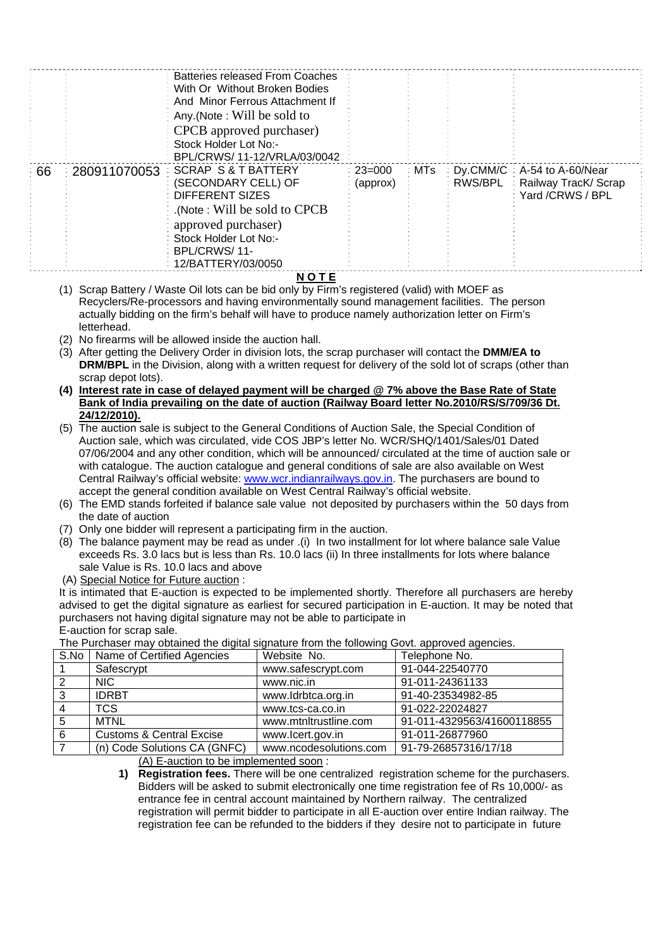|              | With Or Without Broken Bodies   |                                                                               |                          |         |                              |
|--------------|---------------------------------|-------------------------------------------------------------------------------|--------------------------|---------|------------------------------|
|              | And Minor Ferrous Attachment If |                                                                               |                          |         |                              |
|              | Any (Note: Will be sold to      |                                                                               |                          |         |                              |
|              | CPCB approved purchaser)        |                                                                               |                          |         |                              |
|              | Stock Holder Lot No:-           |                                                                               |                          |         |                              |
|              | BPL/CRWS/ 11-12/VRLA/03/0042    |                                                                               |                          |         |                              |
| 280911070053 | <b>SCRAP S &amp; T BATTERY</b>  |                                                                               | ∶ MTs                    |         | Dy.CMM/C : A-54 to A-60/Near |
|              |                                 |                                                                               |                          | RWS/BPL | : Railway TracK/ Scrap       |
|              | <b>DIFFERENT SIZES</b>          |                                                                               |                          |         | Yard /CRWS / BPL             |
|              | (Note: Will be sold to CPCB).   |                                                                               |                          |         |                              |
|              |                                 |                                                                               |                          |         |                              |
|              | Stock Holder Lot No:-           |                                                                               |                          |         |                              |
|              | BPL/CRWS/11-                    |                                                                               |                          |         |                              |
|              | 12/BATTERY/03/0050              |                                                                               |                          |         |                              |
|              |                                 | Batteries released From Coaches<br>(SECONDARY CELL) OF<br>approved purchaser) | : $23 = 000$<br>(approx) |         |                              |

**N O T E**

- (1) Scrap Battery / Waste Oil lots can be bid only by Firm's registered (valid) with MOEF as Recyclers/Re-processors and having environmentally sound management facilities. The person actually bidding on the firm's behalf will have to produce namely authorization letter on Firm's letterhead.
- (2) No firearms will be allowed inside the auction hall.
- (3) After getting the Delivery Order in division lots, the scrap purchaser will contact the **DMM/EA to DRM/BPL** in the Division, along with a written request for delivery of the sold lot of scraps (other than scrap depot lots).
- **(4) Interest rate in case of delayed payment will be charged @ 7% above the Base Rate of State Bank of India prevailing on the date of auction (Railway Board letter No.2010/RS/S/709/36 Dt. 24/12/2010).**
- (5) The auction sale is subject to the General Conditions of Auction Sale, the Special Condition of Auction sale, which was circulated, vide COS JBP's letter No. WCR/SHQ/1401/Sales/01 Dated 07/06/2004 and any other condition, which will be announced/ circulated at the time of auction sale or with catalogue. The auction catalogue and general conditions of sale are also available on West Central Railway's official website: [www.wcr.indianrailways.gov.in.](http://www.wcr.indianrailways.gov.in/) The purchasers are bound to accept the general condition available on West Central Railway's official website.
- (6) The EMD stands forfeited if balance sale value not deposited by purchasers within the 50 days from the date of auction
- (7) Only one bidder will represent a participating firm in the auction.
- (8) The balance payment may be read as under .(i) In two installment for lot where balance sale Value exceeds Rs. 3.0 lacs but is less than Rs. 10.0 lacs (ii) In three installments for lots where balance sale Value is Rs. 10.0 lacs and above
- (A) Special Notice for Future auction :

It is intimated that E-auction is expected to be implemented shortly. Therefore all purchasers are hereby advised to get the digital signature as earliest for secured participation in E-auction. It may be noted that purchasers not having digital signature may not be able to participate in E-auction for scrap sale.

|   | S.No   Name of Certified Agencies   | Website No.            | Telephone No.              |  |  |  |
|---|-------------------------------------|------------------------|----------------------------|--|--|--|
|   | Safescrypt                          | www.safescrypt.com     | 91-044-22540770            |  |  |  |
|   | NIC.                                | www.nic.in             | 91-011-24361133            |  |  |  |
| 3 | <b>IDRBT</b>                        | www.ldrbtca.org.in     | 91-40-23534982-85          |  |  |  |
|   | <b>TCS</b>                          | www.tcs-ca.co.in       | 91-022-22024827            |  |  |  |
| 5 | <b>MTNL</b>                         | www.mtnltrustline.com  | 91-011-4329563/41600118855 |  |  |  |
| 6 | <b>Customs &amp; Central Excise</b> | www.lcert.gov.in       | 91-011-26877960            |  |  |  |
|   | (n) Code Solutions CA (GNFC)        | www.ncodesolutions.com | 91-79-26857316/17/18       |  |  |  |

The Purchaser may obtained the digital signature from the following Govt. approved agencies.

(A) E-auction to be implemented soon :

**1) Registration fees.** There will be one centralized registration scheme for the purchasers. Bidders will be asked to submit electronically one time registration fee of Rs 10,000/- as entrance fee in central account maintained by Northern railway. The centralized registration will permit bidder to participate in all E-auction over entire Indian railway. The registration fee can be refunded to the bidders if they desire not to participate in future